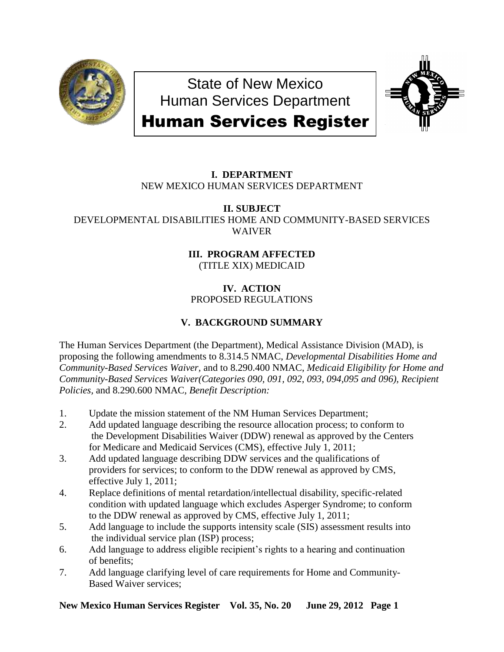

State of New Mexico Human Services Department



# Human Services Register

# **I. DEPARTMENT** NEW MEXICO HUMAN SERVICES DEPARTMENT

**II. SUBJECT** DEVELOPMENTAL DISABILITIES HOME AND COMMUNITY-BASED SERVICES WAIVER

# **III. PROGRAM AFFECTED**

(TITLE XIX) MEDICAID

# **IV. ACTION** PROPOSED REGULATIONS

# **V. BACKGROUND SUMMARY**

The Human Services Department (the Department), Medical Assistance Division (MAD), is proposing the following amendments to 8.314.5 NMAC, *Developmental Disabilities Home and Community-Based Services Waiver,* and to 8.290.400 NMAC, *Medicaid Eligibility for Home and Community-Based Services Waiver(Categories 090, 091, 092, 093, 094,095 and 096), Recipient Policies,* and 8.290.600 NMAC*, Benefit Description:*

- 1. Update the mission statement of the NM Human Services Department;
- 2. Add updated language describing the resource allocation process; to conform to the Development Disabilities Waiver (DDW) renewal as approved by the Centers for Medicare and Medicaid Services (CMS), effective July 1, 2011;
- 3. Add updated language describing DDW services and the qualifications of providers for services; to conform to the DDW renewal as approved by CMS, effective July 1, 2011;
- 4. Replace definitions of mental retardation/intellectual disability, specific-related condition with updated language which excludes Asperger Syndrome; to conform to the DDW renewal as approved by CMS, effective July 1, 2011;
- 5. Add language to include the supports intensity scale (SIS) assessment results into the individual service plan (ISP) process;
- 6. Add language to address eligible recipient's rights to a hearing and continuation of benefits;
- 7. Add language clarifying level of care requirements for Home and Community-Based Waiver services;

**New Mexico Human Services Register Vol. 35, No. 20 June 29, 2012 Page 1**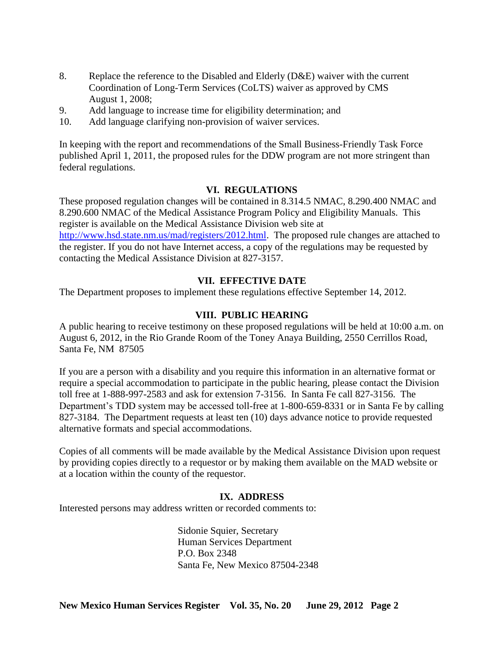- 8. Replace the reference to the Disabled and Elderly (D&E) waiver with the current Coordination of Long-Term Services (CoLTS) waiver as approved by CMS August 1, 2008;
- 9. Add language to increase time for eligibility determination; and
- 10. Add language clarifying non-provision of waiver services.

In keeping with the report and recommendations of the Small Business-Friendly Task Force published April 1, 2011, the proposed rules for the DDW program are not more stringent than federal regulations.

# **VI. REGULATIONS**

These proposed regulation changes will be contained in 8.314.5 NMAC, 8.290.400 NMAC and 8.290.600 NMAC of the Medical Assistance Program Policy and Eligibility Manuals. This register is available on the Medical Assistance Division web site at [http://www.hsd.state.nm.us/mad/registers/2012.html.](http://www.hsd.state.nm.us/mad/registers/2012.html) The proposed rule changes are attached to the register. If you do not have Internet access, a copy of the regulations may be requested by contacting the Medical Assistance Division at 827-3157.

# **VII. EFFECTIVE DATE**

The Department proposes to implement these regulations effective September 14, 2012.

# **VIII. PUBLIC HEARING**

A public hearing to receive testimony on these proposed regulations will be held at 10:00 a.m. on August 6, 2012, in the Rio Grande Room of the Toney Anaya Building, 2550 Cerrillos Road, Santa Fe, NM 87505

If you are a person with a disability and you require this information in an alternative format or require a special accommodation to participate in the public hearing, please contact the Division toll free at 1-888-997-2583 and ask for extension 7-3156. In Santa Fe call 827-3156. The Department's TDD system may be accessed toll-free at 1-800-659-8331 or in Santa Fe by calling 827-3184. The Department requests at least ten (10) days advance notice to provide requested alternative formats and special accommodations.

Copies of all comments will be made available by the Medical Assistance Division upon request by providing copies directly to a requestor or by making them available on the MAD website or at a location within the county of the requestor.

# **IX. ADDRESS**

Interested persons may address written or recorded comments to:

Sidonie Squier, Secretary Human Services Department P.O. Box 2348 Santa Fe, New Mexico 87504-2348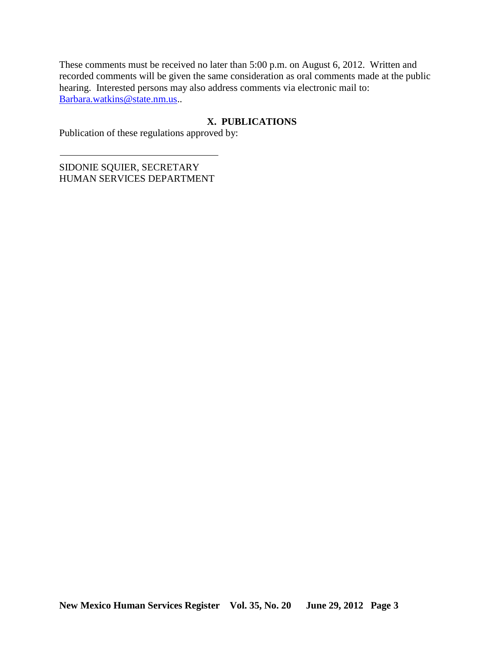These comments must be received no later than 5:00 p.m. on August 6, 2012. Written and recorded comments will be given the same consideration as oral comments made at the public hearing. Interested persons may also address comments via electronic mail to: [Barbara.watkins@state.nm.us.](mailto:Barbara.watkins@state.nm.us).

# **X. PUBLICATIONS**

Publication of these regulations approved by:

SIDONIE SQUIER, SECRETARY HUMAN SERVICES DEPARTMENT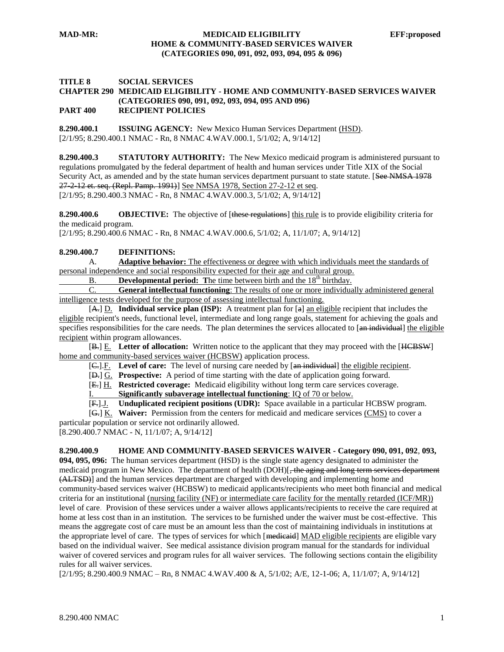#### **TITLE 8 SOCIAL SERVICES CHAPTER 290 MEDICAID ELIGIBILITY - HOME AND COMMUNITY-BASED SERVICES WAIVER (CATEGORIES 090, 091, 092, 093, 094, 095 AND 096) PART 400 RECIPIENT POLICIES**

**8.290.400.1 ISSUING AGENCY:** New Mexico Human Services Department (HSD). [2/1/95; 8.290.400.1 NMAC - Rn, 8 NMAC 4.WAV.000.1, 5/1/02; A, 9/14/12]

**8.290.400.3 STATUTORY AUTHORITY:** The New Mexico medicaid program is administered pursuant to regulations promulgated by the federal department of health and human services under Title XIX of the Social Security Act, as amended and by the state human services department pursuant to state statute. [See NMSA 1978 27-2-12 et. seq. (Repl. Pamp. 1991)] See NMSA 1978, Section 27-2-12 et seq. [2/1/95; 8.290.400.3 NMAC - Rn, 8 NMAC 4.WAV.000.3, 5/1/02; A, 9/14/12]

**8.290.400.6 OBJECTIVE:** The objective of [these regulations] this rule is to provide eligibility criteria for the medicaid program.

[2/1/95; 8.290.400.6 NMAC - Rn, 8 NMAC 4.WAV.000.6, 5/1/02; A, 11/1/07; A, 9/14/12]

#### **8.290.400.7 DEFINITIONS:**

A. **Adaptive behavior:** The effectiveness or degree with which individuals meet the standards of personal independence and social responsibility expected for their age and cultural group.

B. **Developmental period:** The time between birth and the 18<sup>th</sup> birthday.

C. **General intellectual functioning**: The results of one or more individually administered general intelligence tests developed for the purpose of assessing intellectual functioning.

[A.] D. **Individual service plan (ISP):** A treatment plan for [a] an eligible recipient that includes the eligible recipient's needs, functional level, intermediate and long range goals, statement for achieving the goals and specifies responsibilities for the care needs. The plan determines the services allocated to [an individual] the eligible recipient within program allowances.

[B.] E. **Letter of allocation:** Written notice to the applicant that they may proceed with the [HCBSW] home and community-based services waiver (HCBSW) application process.

[C.].F. **Level of care:** The level of nursing care needed by [an individual] the eligible recipient.

[D.] G. **Prospective:** A period of time starting with the date of application going forward.

[E.] H. **Restricted coverage:** Medicaid eligibility without long term care services coverage.

I. **Significantly subaverage intellectual functioning**: IQ of 70 or below. **Unduplicated recipient positions (UDR):** Space available in a particular HCBSW program.

[G.] K. **Waiver:** Permission from the centers for medicaid and medicare services (CMS) to cover a

particular population or service not ordinarily allowed. [8.290.400.7 NMAC - N, 11/1/07; A, 9/14/12]

**8.290.400.9 HOME AND COMMUNITY-BASED SERVICES WAIVER - Category 090, 091, 092**, **093,** 

**094, 095, 096:** The human services department (HSD) is the single state agency designated to administer the medicaid program in New Mexico. The department of health (DOH)[, the aging and long term services department (ALTSD)] and the human services department are charged with developing and implementing home and community-based services waiver (HCBSW) to medicaid applicants/recipients who meet both financial and medical criteria for an institutional (nursing facility (NF) or intermediate care facility for the mentally retarded (ICF/MR)) level of care. Provision of these services under a waiver allows applicants/recipients to receive the care required at home at less cost than in an institution. The services to be furnished under the waiver must be cost-effective. This means the aggregate cost of care must be an amount less than the cost of maintaining individuals in institutions at the appropriate level of care. The types of services for which [mediented] MAD eligible recipients are eligible vary based on the individual waiver. See medical assistance division program manual for the standards for individual waiver of covered services and program rules for all waiver services. The following sections contain the eligibility rules for all waiver services.

[2/1/95; 8.290.400.9 NMAC – Rn, 8 NMAC 4.WAV.400 & A, 5/1/02; A/E, 12-1-06; A, 11/1/07; A, 9/14/12]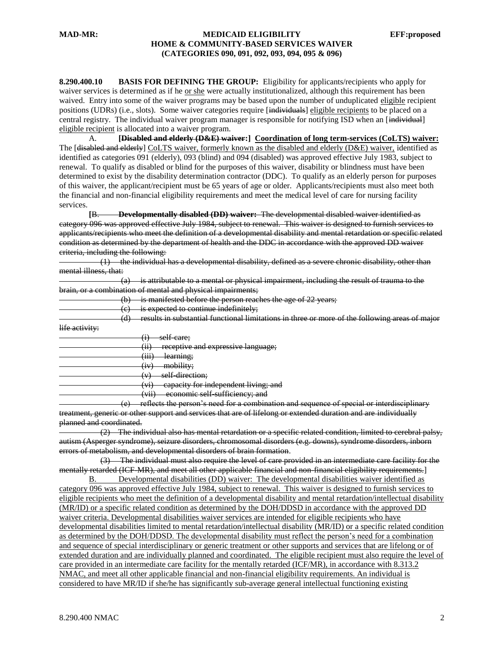**8.290.400.10 BASIS FOR DEFINING THE GROUP:** Eligibility for applicants/recipients who apply for waiver services is determined as if he or she were actually institutionalized, although this requirement has been waived. Entry into some of the waiver programs may be based upon the number of unduplicated eligible recipient positions (UDRs) (i.e., slots). Some waiver categories require [individuals] eligible recipients to be placed on a central registry. The individual waiver program manager is responsible for notifying ISD when an [individual] eligible recipient is allocated into a waiver program.

A. **[Disabled and elderly (D&E) waiver:] Coordination of long term-services (CoLTS) waiver:** The [<del>disabled and elderly</del>] CoLTS waiver, formerly known as the disabled and elderly (D&E) waiver, identified as identified as categories 091 (elderly), 093 (blind) and 094 (disabled) was approved effective July 1983, subject to renewal. To qualify as disabled or blind for the purposes of this waiver, disability or blindness must have been determined to exist by the disability determination contractor (DDC). To qualify as an elderly person for purposes of this waiver, the applicant/recipient must be 65 years of age or older. Applicants/recipients must also meet both the financial and non-financial eligibility requirements and meet the medical level of care for nursing facility services.

**[**B. **Developmentally disabled (DD) waiver:** The developmental disabled waiver identified as category 096 was approved effective July 1984, subject to renewal. This waiver is designed to furnish services to applicants/recipients who meet the definition of a developmental disability and mental retardation or specific related condition as determined by the department of health and the DDC in accordance with the approved DD waiver criteria, including the following:

 (1) the individual has a developmental disability, defined as a severe chronic disability, other than mental illness, that:

| (a) is attributable to a mental or physical impairment including the result of trauma to the                                         |  |
|--------------------------------------------------------------------------------------------------------------------------------------|--|
| $\alpha$ is authorized to a momar or physical impairmont, including the result of trading to the                                     |  |
| <u>brain, or a combination of mental and physical impairments.</u><br><u>oram, or a comomatori or memal and physical mioamments,</u> |  |

(b) is manifested before the person reaches the age of 22 years;

 $(c)$  is expected to continue indefinitely;

(d) results in substantial functional limitations in three or more of the following areas of major<br>life activity life activity:

| <del>hie activity:</del> |                                                                                                   |   |
|--------------------------|---------------------------------------------------------------------------------------------------|---|
|                          | self care;<br>۰÷۱<br>π,                                                                           |   |
|                          | (ii)<br>receptive and evpressive language.<br><del>receptive and expressive ranguage,</del><br>Œ, |   |
|                          | (iii)<br>learning;<br>, 111 7                                                                     |   |
|                          | mobility;<br>$\left( \mathbf{iv} \right)$<br><b>IV</b>                                            |   |
|                          | self direction;<br>$(\tau)$                                                                       |   |
|                          | capacity for independent living; and<br>$(\vec{m})$<br>vτ                                         |   |
|                          | (iii)<br>economic self sufficiency; and<br>$\overline{\mathbf{v}}$                                |   |
|                          |                                                                                                   | . |

 (e) reflects the person's need for a combination and sequence of special or interdisciplinary treatment, generic or other support and services that are of lifelong or extended duration and are individually planned and coordinated.

 (2) The individual also has mental retardation or a specific related condition, limited to cerebral palsy, autism (Asperger syndrome), seizure disorders, chromosomal disorders (e.g. downs), syndrome disorders, inborn errors of metabolism, and developmental disorders of brain formation.

 (3) The individual must also require the level of care provided in an intermediate care facility for the mentally retarded (ICF-MR), and meet all other applicable financial and non-financial eligibility requirements.]

B. Developmental disabilities (DD) waiver: The developmental disabilities waiver identified as category 096 was approved effective July 1984, subject to renewal. This waiver is designed to furnish services to eligible recipients who meet the definition of a developmental disability and mental retardation/intellectual disability (MR/ID) or a specific related condition as determined by the DOH/DDSD in accordance with the approved DD waiver criteria. Developmental disabilities waiver services are intended for eligible recipients who have developmental disabilities limited to mental retardation/intellectual disability (MR/ID) or a specific related condition as determined by the DOH/DDSD. The developmental disability must reflect the person's need for a combination and sequence of special interdisciplinary or generic treatment or other supports and services that are lifelong or of extended duration and are individually planned and coordinated. The eligible recipient must also require the level of care provided in an intermediate care facility for the mentally retarded (ICF/MR), in accordance with 8.313.2 NMAC, and meet all other applicable financial and non-financial eligibility requirements. An individual is considered to have MR/ID if she/he has significantly sub-average general intellectual functioning existing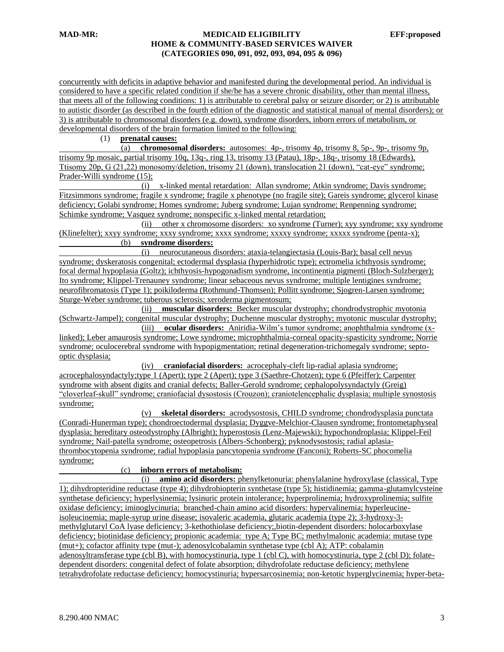concurrently with deficits in adaptive behavior and manifested during the developmental period. An individual is considered to have a specific related condition if she/he has a severe chronic disability, other than mental illness, that meets all of the following conditions: 1) is attributable to cerebral palsy or seizure disorder; or 2) is attributable to autistic disorder (as described in the fourth edition of the diagnostic and statistical manual of mental disorders); or 3) is attributable to chromosomal disorders (e.g. down), syndrome disorders, inborn errors of metabolism, or developmental disorders of the brain formation limited to the following:

(1) **prenatal causes:**

 (a) **chromosomal disorders:** autosomes: 4p-, trisomy 4p, trisomy 8, 5p-, 9p-, trisomy 9p, trisomy 9p mosaic, partial trisomy 10q, 13q-, ring 13, trisomy 13 (Patau), 18p-, 18q-, trisomy 18 (Edwards), Ttisomy 20p, G (21,22) monosomy/deletion, trisomy 21 (down), translocation 21 (down), "cat-eye" syndrome; Prader-Willi syndrome (15);

 (i) x-linked mental retardation: Allan syndrome; Atkin syndrome; Davis syndrome; Fitzsimmons syndrome; fragile x syndrome; fragile x phenotype (no fragile site); Gareis syndrome; glycerol kinase deficiency; Golabi syndrome; Homes syndrome; Juberg syndrome; Lujan syndrome; Renpenning syndrome; Schimke syndrome; Vasquez syndrome; nonspecific x-linked mental retardation;

 (ii) other x chromosome disorders: xo syndrome (Turner); xyy syndrome; xxy syndrome (Klinefelter); xxyy syndrome; xxxy syndrome; xxxx syndrome; xxxxy syndrome; xxxxx syndrome (penta-x); (b) **syndrome disorders:**

 (i) neurocutaneous disorders: ataxia-telangiectasia (Louis-Bar); basal cell nevus syndrome; dyskeratosis congenital; ectodermal dysplasia (hyperhidrotic type); ectromelia ichthyosis syndrome; focal dermal hypoplasia (Goltz); ichthyosis-hypogonadism syndrome, incontinentia pigmenti (Bloch-Sulzberger); Ito syndrome; Klippel-Trenauney syndrome; linear sebaceous nevus syndrome; multiple lentigines syndrome; neurofibromatosis (Type 1); poikiloderma (Rothmund-Thomsen); Pollitt syndrome; Sjogren-Larsen syndrome; Sturge-Weber syndrome; tuberous sclerosis; xeroderma pigmentosum;

 (ii) **muscular disorders:** Becker muscular dystrophy; chondrodystrophic myotonia (Schwartz-Jampel); congenital muscular dystrophy; Duchenne muscular dystrophy; myotonic muscular dystrophy;

 (iii) **ocular disorders:** Aniridia-Wilm's tumor syndrome; anophthalmia syndrome (xlinked); Leber amaurosis syndrome; Lowe syndrome; microphthalmia-corneal opacity-spasticity syndrome; Norrie syndrome; oculocerebral syndrome with hypopigmentation; retinal degeneration-trichomegaly syndrome; septooptic dysplasia;

 (iv) **craniofacial disorders:** acrocephaly-cleft lip-radial aplasia syndrome; acrocephalosyndactyly;type 1 (Apert); type 2 (Apert); type 3 (Saethre-Chotzen); type 6 (Pfeiffer); Carpenter syndrome with absent digits and cranial defects; Baller-Gerold syndrome; cephalopolysyndactyly (Greig) "cloverleaf-skull" syndrome; craniofacial dysostosis (Crouzon); craniotelencephalic dysplasia; multiple synostosis syndrome;

 (v) **skeletal disorders:** acrodysostosis, CHILD syndrome; chondrodysplasia punctata (Conradi-Hunerman type); chondroectodermal dysplasia; Dyggve-Melchior-Clausen syndrome; frontometaphyseal dysplasia; hereditary osteodystrophy (Albright); hyperostosis (Lenz-Majewski); hypochondroplasia; Klippel-Feil syndrome; Nail-patella syndrome; osteopetrosis (Albers-Schonberg); pyknodysostosis; radial aplasiathrombocytopenia syndrome; radial hypoplasia pancytopenia syndrome (Fanconi); Roberts-SC phocomelia syndrome;

#### (c) **inborn errors of metabolism:**

 (i) **amino acid disorders:** phenylketonuria: phenylalanine hydroxylase (classical, Type 1); dihydropteridine reductase (type 4); dihydrobiopterin synthetase (type 5); histidinemia; gamma-glutamylcysteine synthetase deficiency; hyperlysinemia; lysinuric protein intolerance; hyperprolinemia; hydroxyprolinemia; sulfite oxidase deficiency; iminoglycinuria; branched-chain amino acid disorders: hypervalinemia; hyperleucineisoleucinemia; maple-syrup urine disease; isovaleric academia, glutaric academia (type 2); 3-hydroxy-3 methylglutaryl CoA lyase deficiency; 3-kethothiolase deficiency;,biotin-dependent disorders: holocarboxylase deficiency; biotinidase deficiency; propionic academia: type A; Type BC; methylmalonic academia: mutase type (mut+); cofactor affinity type (mut-); adenosylcobalamin synthetase type (cbl A); ATP: cobalamin adenosyltransferase type (cbl B), with homocystinuria, type 1 (cbl C), with homocystinuria, type 2 (cbl D); folatedependent disorders: congenital defect of folate absorption; dihydrofolate reductase deficiency; methylene tetrahydrofolate reductase deficiency; homocystinuria; hypersarcosinemia; non-ketotic hyperglycinemia; hyper-beta-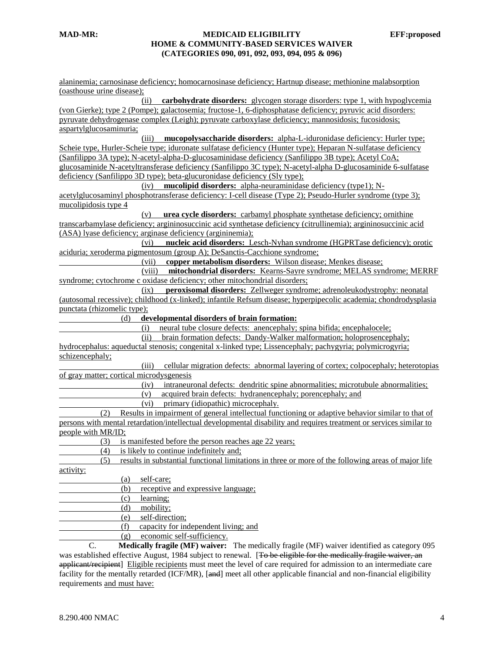alaninemia; carnosinase deficiency; homocarnosinase deficiency; Hartnup disease; methionine malabsorption (oasthouse urine disease); (ii) **carbohydrate disorders:** glycogen storage disorders: type 1, with hypoglycemia (von Gierke); type 2 (Pompe); galactosemia; fructose-1, 6-diphosphatase deficiency; pyruvic acid disorders: pyruvate dehydrogenase complex (Leigh); pyruvate carboxylase deficiency; mannosidosis; fucosidosis; aspartylglucosaminuria; (iii) **mucopolysaccharide disorders:** alpha-L-iduronidase deficiency: Hurler type; Scheie type, Hurler-Scheie type; iduronate sulfatase deficiency (Hunter type); Heparan N-sulfatase deficiency (Sanfilippo 3A type); N-acetyl-alpha-D-glucosaminidase deficiency (Sanfilippo 3B type); Acetyl CoA; glucosaminide N-acetyltransferase deficiency (Sanfilippo 3C type); N-acetyl-alpha D-glucosaminide 6-sulfatase deficiency (Sanfilippo 3D type); beta-glucuronidase deficiency (Sly type); (iv) **mucolipid disorders:** alpha-neuraminidase deficiency (type1); Nacetylglucosaminyl phosphotransferase deficiency: I-cell disease (Type 2); Pseudo-Hurler syndrome (type 3); mucolipidosis type 4 (v) **urea cycle disorders:** carbamyl phosphate synthetase deficiency; ornithine transcarbamylase deficiency; argininosuccinic acid synthetase deficiency (citrullinemia); argininosuccinic acid (ASA) lyase deficiency; arginase deficiency (argininemia); (vi) **nucleic acid disorders:** Lesch-Nyhan syndrome (HGPRTase deficiency); orotic aciduria; xeroderma pigmentosum (group A); DeSanctis-Cacchione syndrome; (vii) **copper metabolism disorders:** Wilson disease; Menkes disease; (viii) **mitochondrial disorders:** Kearns-Sayre syndrome; MELAS syndrome; MERRF syndrome; cytochrome c oxidase deficiency; other mitochondrial disorders; (ix) **peroxisomal disorders:** Zellweger syndrome; adrenoleukodystrophy: neonatal (autosomal recessive); childhood (x-linked); infantile Refsum disease; hyperpipecolic academia; chondrodysplasia punctata (rhizomelic type); (d) **developmental disorders of brain formation:** (i) neural tube closure defects: anencephaly; spina bifida; encephalocele; (ii) brain formation defects: Dandy-Walker malformation; holoprosencephaly; hydrocephalus: aqueductal stenosis; congenital x-linked type; Lissencephaly; pachygyria; polymicrogyria; schizencephaly; (iii) cellular migration defects: abnormal layering of cortex; colpocephaly; heterotopias of gray matter; cortical microdysgenesis (iv) intraneuronal defects: dendritic spine abnormalities; microtubule abnormalities; (v) acquired brain defects: hydranencephaly; porencephaly; and (vi) primary (idiopathic) microcephaly. (2) Results in impairment of general intellectual functioning or adaptive behavior similar to that of persons with mental retardation/intellectual developmental disability and requires treatment or services similar to people with MR/ID; (3) is manifested before the person reaches age 22 years; (4) is likely to continue indefinitely and; (5) results in substantial functional limitations in three or more of the following areas of major life activity: (a) self-care; (b) receptive and expressive language; (c) learning; (d) mobility; (e) self-direction; (f) capacity for independent living; and (g) economic self-sufficiency. C. **Medically fragile (MF) waiver:** The medically fragile (MF) waiver identified as category 095 was established effective August, 1984 subject to renewal. [To be eligible for the medically fragile waiver, an applicant/recipient] Eligible recipients must meet the level of care required for admission to an intermediate care

facility for the mentally retarded (ICF/MR), [and] meet all other applicable financial and non-financial eligibility

requirements and must have: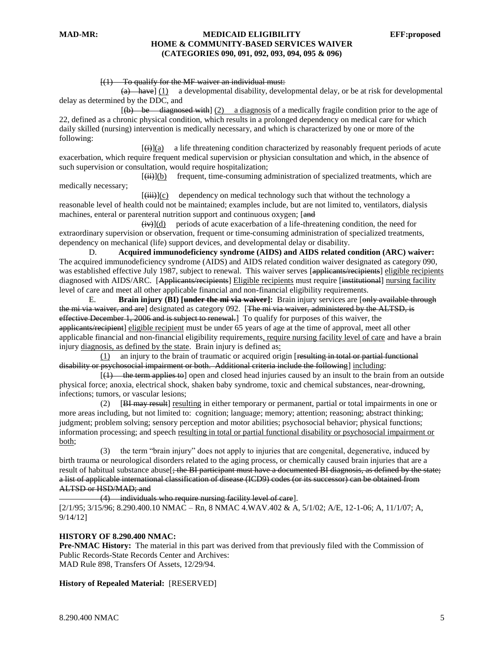#### $[(1)$  To qualify for the MF waiver an individual must:

 $(a)$  have] (1) a developmental disability, developmental delay, or be at risk for developmental delay as determined by the DDC, and

 $[4b \rightarrow be$  diagnosed with  $(2)$  a diagnosis of a medically fragile condition prior to the age of 22, defined as a chronic physical condition, which results in a prolonged dependency on medical care for which daily skilled (nursing) intervention is medically necessary, and which is characterized by one or more of the following:

 $\overline{(ii)}$ (a) a life threatening condition characterized by reasonably frequent periods of acute exacerbation, which require frequent medical supervision or physician consultation and which, in the absence of such supervision or consultation, would require hospitalization;

 $[\overrightarrow{(\mathbf{ii})}]$ (b) frequent, time-consuming administration of specialized treatments, which are medically necessary;

 $[(iii)](c)$  dependency on medical technology such that without the technology a reasonable level of health could not be maintained; examples include, but are not limited to, ventilators, dialysis machines, enteral or parenteral nutrition support and continuous oxygen; [and]

 $(iiv)$ ](d) periods of acute exacerbation of a life-threatening condition, the need for extraordinary supervision or observation, frequent or time-consuming administration of specialized treatments, dependency on mechanical (life) support devices, and developmental delay or disability.

D. **Acquired immunodeficiency syndrome (AIDS) and AIDS related condition (ARC) waiver:** The acquired immunodeficiency syndrome (AIDS) and AIDS related condition waiver designated as category 090, was established effective July 1987, subject to renewal. This waiver serves [applicants/recipients] eligible recipients diagnosed with AIDS/ARC. [Applicants/recipients] Eligible recipients must require [institutional] nursing facility level of care and meet all other applicable financial and non-financial eligibility requirements.

E. **Brain injury (BI) [under the mi via waiver]:** Brain injury services are [only available through the mi via waiver, and are] designated as category 092. [The mi via waiver, administered by the ALTSD, is effective December 1, 2006 and is subject to renewal.] To qualify for purposes of this waiver, the applicants/recipient] eligible recipient must be under 65 years of age at the time of approval, meet all other applicable financial and non-financial eligibility requirements, require nursing facility level of care and have a brain injury diagnosis, as defined by the state. Brain injury is defined as:

 $(1)$  an injury to the brain of traumatic or acquired origin [resulting in total or partial functional disability or psychosocial impairment or both. Additional criteria include the following] including:

 $(1)$  the term applies to open and closed head injuries caused by an insult to the brain from an outside physical force; anoxia, electrical shock, shaken baby syndrome, toxic and chemical substances, near-drowning, infections; tumors, or vascular lesions;

 (2) [BI may result] resulting in either temporary or permanent, partial or total impairments in one or more areas including, but not limited to: cognition; language; memory; attention; reasoning; abstract thinking; judgment; problem solving; sensory perception and motor abilities; psychosocial behavior; physical functions; information processing; and speech resulting in total or partial functional disability or psychosocial impairment or both;

 (3) the term "brain injury" does not apply to injuries that are congenital, degenerative, induced by birth trauma or neurological disorders related to the aging process, or chemically caused brain injuries that are a result of habitual substance abuse<sup>[</sup>; the BI participant must have a documented BI diagnosis, as defined by the state; a list of applicable international classification of disease (ICD9) codes (or its successor) can be obtained from ALTSD or HSD/MAD; and

(4) individuals who require nursing facility level of care].

[2/1/95; 3/15/96; 8.290.400.10 NMAC – Rn, 8 NMAC 4.WAV.402 & A, 5/1/02; A/E, 12-1-06; A, 11/1/07; A, 9/14/12]

#### **HISTORY OF 8.290.400 NMAC:**

**Pre-NMAC History:** The material in this part was derived from that previously filed with the Commission of Public Records-State Records Center and Archives: MAD Rule 898, Transfers Of Assets, 12/29/94.

#### **History of Repealed Material:** [RESERVED]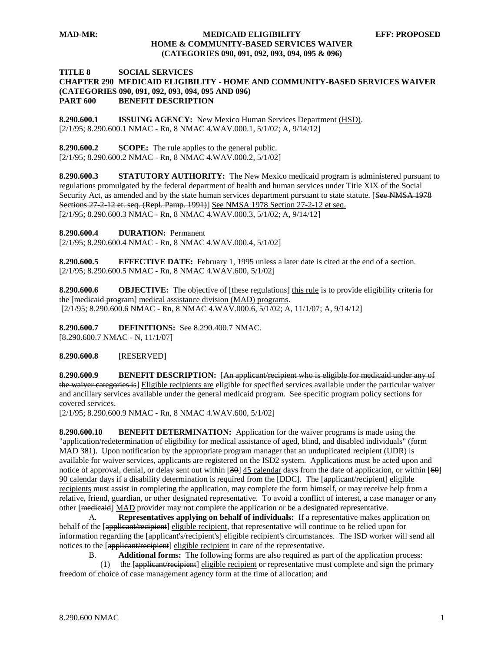#### **TITLE 8 SOCIAL SERVICES CHAPTER 290 MEDICAID ELIGIBILITY - HOME AND COMMUNITY-BASED SERVICES WAIVER (CATEGORIES 090, 091, 092, 093, 094, 095 AND 096) PART 600 BENEFIT DESCRIPTION**

**8.290.600.1 ISSUING AGENCY:** New Mexico Human Services Department (HSD). [2/1/95; 8.290.600.1 NMAC - Rn, 8 NMAC 4.WAV.000.1, 5/1/02; A, 9/14/12]

**8.290.600.2 SCOPE:** The rule applies to the general public. [2/1/95; 8.290.600.2 NMAC - Rn, 8 NMAC 4.WAV.000.2, 5/1/02]

**8.290.600.3 STATUTORY AUTHORITY:** The New Mexico medicaid program is administered pursuant to regulations promulgated by the federal department of health and human services under Title XIX of the Social Security Act, as amended and by the state human services department pursuant to state statute. [See NMSA 1978 Sections 27-2-12 et. seq. (Repl. Pamp. 1991)] See NMSA 1978 Section 27-2-12 et seq. [2/1/95; 8.290.600.3 NMAC - Rn, 8 NMAC 4.WAV.000.3, 5/1/02; A, 9/14/12]

**8.290.600.4 DURATION:** Permanent

[2/1/95; 8.290.600.4 NMAC - Rn, 8 NMAC 4.WAV.000.4, 5/1/02]

**8.290.600.5 EFFECTIVE DATE:** February 1, 1995 unless a later date is cited at the end of a section. [2/1/95; 8.290.600.5 NMAC - Rn, 8 NMAC 4.WAV.600, 5/1/02]

**8.290.600.6 OBJECTIVE:** The objective of [these regulations] this rule is to provide eligibility criteria for the [medicaid program] medical assistance division (MAD) programs. [2/1/95; 8.290.600.6 NMAC - Rn, 8 NMAC 4.WAV.000.6, 5/1/02; A, 11/1/07; A, 9/14/12]

**8.290.600.7 DEFINITIONS:** See 8.290.400.7 NMAC. [8.290.600.7 NMAC - N, 11/1/07]

**8.290.600.8** [RESERVED]

**8.290.600.9 BENEFIT DESCRIPTION:** [An applicant/recipient who is eligible for medicaid under any of the waiver categories is] Eligible recipients are eligible for specified services available under the particular waiver and ancillary services available under the general medicaid program. See specific program policy sections for covered services.

[2/1/95; 8.290.600.9 NMAC - Rn, 8 NMAC 4.WAV.600, 5/1/02]

**8.290.600.10 BENEFIT DETERMINATION:** Application for the waiver programs is made using the "application/redetermination of eligibility for medical assistance of aged, blind, and disabled individuals" (form MAD 381). Upon notification by the appropriate program manager that an unduplicated recipient (UDR) is available for waiver services, applicants are registered on the ISD2 system. Applications must be acted upon and notice of approval, denial, or delay sent out within  $[30]$  45 calendar days from the date of application, or within  $[60]$ 90 calendar days if a disability determination is required from the [DDC]. The [applicant/recipient] eligible recipients must assist in completing the application, may complete the form himself, or may receive help from a relative, friend, guardian, or other designated representative. To avoid a conflict of interest, a case manager or any other [medicaid] MAD provider may not complete the application or be a designated representative.

A. **Representatives applying on behalf of individuals:** If a representative makes application on behalf of the [applicant/recipient] eligible recipient, that representative will continue to be relied upon for information regarding the [applicant's/recipient's] eligible recipient's circumstances. The ISD worker will send all notices to the  $\overline{[appliedat/recipient]}$  eligible recipient in care of the representative.

B. **Additional forms:** The following forms are also required as part of the application process:

 (1) the [applicant/recipient] eligible recipient or representative must complete and sign the primary freedom of choice of case management agency form at the time of allocation; and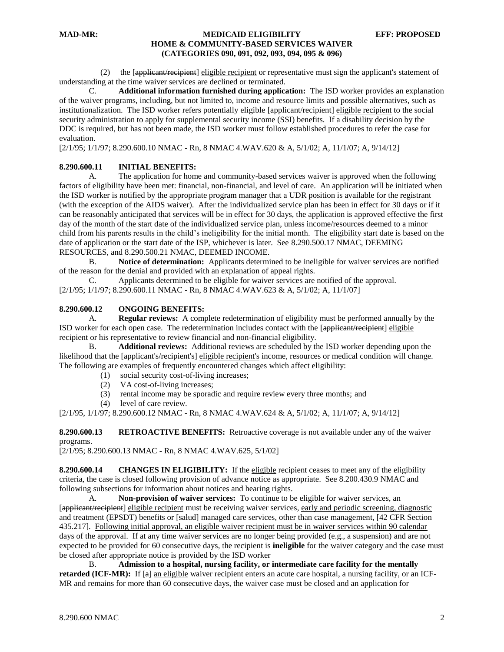(2) the [applicant/recipient] eligible recipient or representative must sign the applicant's statement of understanding at the time waiver services are declined or terminated.

C. **Additional information furnished during application:** The ISD worker provides an explanation of the waiver programs, including, but not limited to, income and resource limits and possible alternatives, such as institutionalization. The ISD worker refers potentially eligible [applicant/recipient] eligible recipient to the social security administration to apply for supplemental security income (SSI) benefits. If a disability decision by the DDC is required, but has not been made, the ISD worker must follow established procedures to refer the case for evaluation.

[2/1/95; 1/1/97; 8.290.600.10 NMAC - Rn, 8 NMAC 4.WAV.620 & A, 5/1/02; A, 11/1/07; A, 9/14/12]

#### **8.290.600.11 INITIAL BENEFITS:**

A. The application for home and community-based services waiver is approved when the following factors of eligibility have been met: financial, non-financial, and level of care. An application will be initiated when the ISD worker is notified by the appropriate program manager that a UDR position is available for the registrant (with the exception of the AIDS waiver). After the individualized service plan has been in effect for 30 days or if it can be reasonably anticipated that services will be in effect for 30 days, the application is approved effective the first day of the month of the start date of the individualized service plan, unless income/resources deemed to a minor child from his parents results in the child's ineligibility for the initial month. The eligibility start date is based on the date of application or the start date of the ISP, whichever is later. See 8.290.500.17 NMAC, DEEMING RESOURCES, and 8.290.500.21 NMAC, DEEMED INCOME.

B. **Notice of determination:** Applicants determined to be ineligible for waiver services are notified of the reason for the denial and provided with an explanation of appeal rights.

C. Applicants determined to be eligible for waiver services are notified of the approval. [2/1/95; 1/1/97; 8.290.600.11 NMAC - Rn, 8 NMAC 4.WAV.623 & A, 5/1/02; A, 11/1/07]

#### **8.290.600.12 ONGOING BENEFITS:**

A. **Regular reviews:** A complete redetermination of eligibility must be performed annually by the ISD worker for each open case. The redetermination includes contact with the [applicant/recipient] eligible recipient or his representative to review financial and non-financial eligibility.

B. **Additional reviews:** Additional reviews are scheduled by the ISD worker depending upon the likelihood that the [applicant's/recipient's] eligible recipient's income, resources or medical condition will change. The following are examples of frequently encountered changes which affect eligibility:

- (1) social security cost-of-living increases;
- (2) VA cost-of-living increases;
- (3) rental income may be sporadic and require review every three months; and
- (4) level of care review.

[2/1/95, 1/1/97; 8.290.600.12 NMAC - Rn, 8 NMAC 4.WAV.624 & A, 5/1/02; A, 11/1/07; A, 9/14/12]

**8.290.600.13 RETROACTIVE BENEFITS:** Retroactive coverage is not available under any of the waiver programs.

[2/1/95; 8.290.600.13 NMAC - Rn, 8 NMAC 4.WAV.625, 5/1/02]

**8.290.600.14 CHANGES IN ELIGIBILITY:** If the eligible recipient ceases to meet any of the eligibility criteria, the case is closed following provision of advance notice as appropriate. See 8.200.430.9 NMAC and following subsections for information about notices and hearing rights.

A. **Non-provision of waiver services:** To continue to be eligible for waiver services, an [applicant/recipient] eligible recipient must be receiving waiver services, early and periodic screening, diagnostic and treatment (EPSDT) benefits or [salud] managed care services, other than case management, [42 CFR Section 435.217]. Following initial approval, an eligible waiver recipient must be in waiver services within 90 calendar days of the approval. If at any time waiver services are no longer being provided (e.g., a suspension) and are not expected to be provided for 60 consecutive days, the recipient is **ineligible** for the waiver category and the case must be closed after appropriate notice is provided by the ISD worker

B. **Admission to a hospital, nursing facility, or intermediate care facility for the mentally retarded (ICF-MR):** If [a] an eligible waiver recipient enters an acute care hospital, a nursing facility, or an ICF-MR and remains for more than 60 consecutive days, the waiver case must be closed and an application for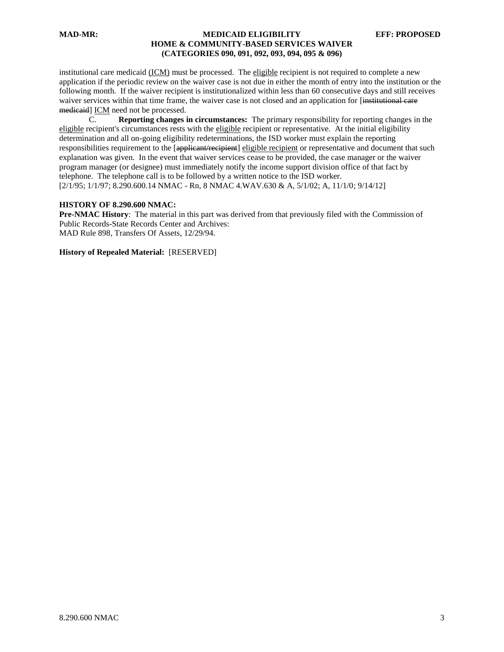institutional care medicaid (ICM) must be processed. The eligible recipient is not required to complete a new application if the periodic review on the waiver case is not due in either the month of entry into the institution or the following month. If the waiver recipient is institutionalized within less than 60 consecutive days and still receives waiver services within that time frame, the waiver case is not closed and an application for [institutional care medicaid] ICM need not be processed.

C. **Reporting changes in circumstances:** The primary responsibility for reporting changes in the eligible recipient's circumstances rests with the eligible recipient or representative. At the initial eligibility determination and all on-going eligibility redeterminations, the ISD worker must explain the reporting responsibilities requirement to the [applicant/recipient] eligible recipient or representative and document that such explanation was given. In the event that waiver services cease to be provided, the case manager or the waiver program manager (or designee) must immediately notify the income support division office of that fact by telephone. The telephone call is to be followed by a written notice to the ISD worker. [2/1/95; 1/1/97; 8.290.600.14 NMAC - Rn, 8 NMAC 4.WAV.630 & A, 5/1/02; A, 11/1/0; 9/14/12]

#### **HISTORY OF 8.290.600 NMAC:**

**Pre-NMAC History**: The material in this part was derived from that previously filed with the Commission of Public Records-State Records Center and Archives: MAD Rule 898, Transfers Of Assets, 12/29/94.

**History of Repealed Material:** [RESERVED]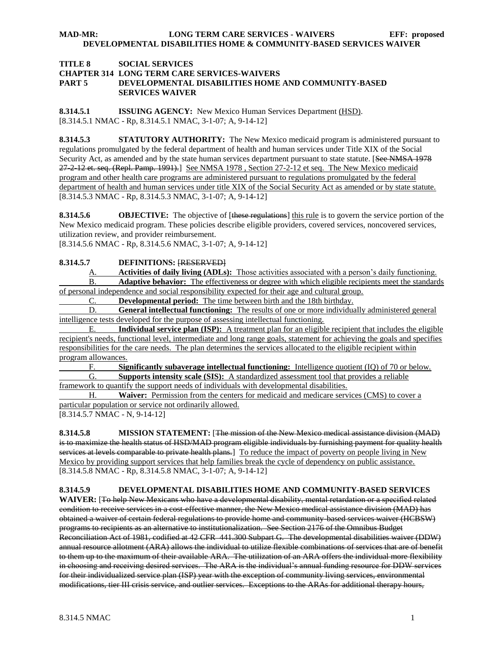#### **TITLE 8 SOCIAL SERVICES**

#### **CHAPTER 314 LONG TERM CARE SERVICES-WAIVERS**

# **PART 5 DEVELOPMENTAL DISABILITIES HOME AND COMMUNITY-BASED SERVICES WAIVER**

**8.314.5.1 ISSUING AGENCY:** New Mexico Human Services Department (HSD). [8.314.5.1 NMAC - Rp, 8.314.5.1 NMAC, 3-1-07; A, 9-14-12]

**8.314.5.3 STATUTORY AUTHORITY:** The New Mexico medicaid program is administered pursuant to regulations promulgated by the federal department of health and human services under Title XIX of the Social Security Act, as amended and by the state human services department pursuant to state statute. [See NMSA 1978 27-2-12 et. seq. (Repl. Pamp. 1991).] See NMSA 1978 , Section 27-2-12 et seq. The New Mexico medicaid program and other health care programs are administered pursuant to regulations promulgated by the federal department of health and human services under title XIX of the Social Security Act as amended or by state statute. [8.314.5.3 NMAC - Rp, 8.314.5.3 NMAC, 3-1-07; A, 9-14-12]

**8.314.5.6 OBJECTIVE:** The objective of [these regulations] this rule is to govern the service portion of the New Mexico medicaid program. These policies describe eligible providers, covered services, noncovered services, utilization review, and provider reimbursement.

[8.314.5.6 NMAC - Rp, 8.314.5.6 NMAC, 3-1-07; A, 9-14-12]

# **8.314.5.7 DEFINITIONS:** [RESERVED]

A. **Activities of daily living (ADLs):** Those activities associated with a person's daily functioning.

B. **Adaptive behavior:** The effectiveness or degree with which eligible recipients meet the standards of personal independence and social responsibility expected for their age and cultural group.

C. **Developmental period:** The time between birth and the 18th birthday.

D. **General intellectual functioning:** The results of one or more individually administered general intelligence tests developed for the purpose of assessing intellectual functioning.

E. **Individual service plan (ISP):** A treatment plan for an eligible recipient that includes the eligible recipient's needs, functional level, intermediate and long range goals, statement for achieving the goals and specifies responsibilities for the care needs. The plan determines the services allocated to the eligible recipient within program allowances.

F. **Significantly subaverage intellectual functioning:** Intelligence quotient (IQ) of 70 or below.

G. **Supports intensity scale (SIS):** A standardized assessment tool that provides a reliable framework to quantify the support needs of individuals with developmental disabilities.

H. **Waiver:** Permission from the centers for medicaid and medicare services (CMS) to cover a particular population or service not ordinarily allowed.

[8.314.5.7 NMAC - N, 9-14-12]

**8.314.5.8 MISSION STATEMENT:** [The mission of the New Mexico medical assistance division (MAD) is to maximize the health status of HSD/MAD program eligible individuals by furnishing payment for quality health services at levels comparable to private health plans.] To reduce the impact of poverty on people living in New Mexico by providing support services that help families break the cycle of dependency on public assistance. [8.314.5.8 NMAC - Rp, 8.314.5.8 NMAC, 3-1-07; A, 9-14-12]

#### **8.314.5.9 DEVELOPMENTAL DISABILITIES HOME AND COMMUNITY-BASED SERVICES**

**WAIVER:** [To help New Mexicans who have a developmental disability, mental retardation or a specified related condition to receive services in a cost-effective manner, the New Mexico medical assistance division (MAD) has obtained a waiver of certain federal regulations to provide home and community-based services waiver (HCBSW) programs to recipients as an alternative to institutionalization. See Section 2176 of the Omnibus Budget Reconciliation Act of 1981, codified at 42 CFR 441.300 Subpart G. The developmental disabilities waiver (DDW) annual resource allotment (ARA) allows the individual to utilize flexible combinations of services that are of benefit to them up to the maximum of their available ARA. The utilization of an ARA offers the individual more flexibility in choosing and receiving desired services. The ARA is the individual's annual funding resource for DDW services for their individualized service plan (ISP) year with the exception of community living services, environmental modifications, tier III crisis service, and outlier services. Exceptions to the ARAs for additional therapy hours,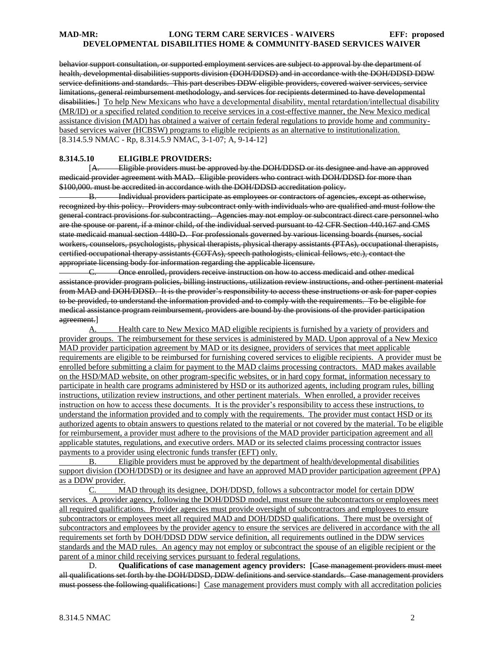behavior support consultation, or supported employment services are subject to approval by the department of health, developmental disabilities supports division (DOH/DDSD) and in accordance with the DOH/DDSD DDW service definitions and standards. This part describes DDW eligible providers, covered waiver services, service limitations, general reimbursement methodology, and services for recipients determined to have developmental disabilities.] To help New Mexicans who have a developmental disability, mental retardation/intellectual disability (MR/ID) or a specified related condition to receive services in a cost-effective manner, the New Mexico medical assistance division (MAD) has obtained a waiver of certain federal regulations to provide home and communitybased services waiver (HCBSW) programs to eligible recipients as an alternative to institutionalization. [8.314.5.9 NMAC - Rp, 8.314.5.9 NMAC, 3-1-07; A, 9-14-12]

#### **8.314.5.10 ELIGIBLE PROVIDERS:**

[A. Eligible providers must be approved by the DOH/DDSD or its designee and have an approved medicaid provider agreement with MAD. Eligible providers who contract with DOH/DDSD for more than \$100,000. must be accredited in accordance with the DOH/DDSD accreditation policy.

B. Individual providers participate as employees or contractors of agencies, except as otherwise, recognized by this policy. Providers may subcontract only with individuals who are qualified and must follow the general contract provisions for subcontracting. Agencies may not employ or subcontract direct care personnel who are the spouse or parent, if a minor child, of the individual served pursuant to 42 CFR Section 440.167 and CMS state medicaid manual section 4480-D. For professionals governed by various licensing boards (nurses, social workers, counselors, psychologists, physical therapists, physical therapy assistants (PTAs), occupational therapists, certified occupational therapy assistants (COTAs), speech pathologists, clinical fellows, etc.), contact the appropriate licensing body for information regarding the applicable licensure.

C. Once enrolled, providers receive instruction on how to access medicaid and other medical assistance provider program policies, billing instructions, utilization review instructions, and other pertinent material from MAD and DOH/DDSD. It is the provider's responsibility to access these instructions or ask for paper copies to be provided, to understand the information provided and to comply with the requirements. To be eligible for medical assistance program reimbursement, providers are bound by the provisions of the provider participation agreement.]

A. Health care to New Mexico MAD eligible recipients is furnished by a variety of providers and provider groups. The reimbursement for these services is administered by MAD. Upon approval of a New Mexico MAD provider participation agreement by MAD or its designee, providers of services that meet applicable requirements are eligible to be reimbursed for furnishing covered services to eligible recipients. A provider must be enrolled before submitting a claim for payment to the MAD claims processing contractors. MAD makes available on the HSD/MAD website, on other program-specific websites, or in hard copy format, information necessary to participate in health care programs administered by HSD or its authorized agents, including program rules, billing instructions, utilization review instructions, and other pertinent materials. When enrolled, a provider receives instruction on how to access these documents. It is the provider's responsibility to access these instructions, to understand the information provided and to comply with the requirements. The provider must contact HSD or its authorized agents to obtain answers to questions related to the material or not covered by the material. To be eligible for reimbursement, a provider must adhere to the provisions of the MAD provider participation agreement and all applicable statutes, regulations, and executive orders. MAD or its selected claims processing contractor issues payments to a provider using electronic funds transfer (EFT) only.

B. Eligible providers must be approved by the department of health/developmental disabilities support division (DOH/DDSD) or its designee and have an approved MAD provider participation agreement (PPA) as a DDW provider.

C. MAD through its designee, DOH/DDSD, follows a subcontractor model for certain DDW services. A provider agency, following the DOH/DDSD model, must ensure the subcontractors or employees meet all required qualifications. Provider agencies must provide oversight of subcontractors and employees to ensure subcontractors or employees meet all required MAD and DOH/DDSD qualifications. There must be oversight of subcontractors and employees by the provider agency to ensure the services are delivered in accordance with the all requirements set forth by DOH/DDSD DDW service definition, all requirements outlined in the DDW services standards and the MAD rules. An agency may not employ or subcontract the spouse of an eligible recipient or the parent of a minor child receiving services pursuant to federal regulations.

D. **Qualifications of case management agency providers: [**Case management providers must meet all qualifications set forth by the DOH/DDSD, DDW definitions and service standards. Case management providers must possess the following qualifications:] Case management providers must comply with all accreditation policies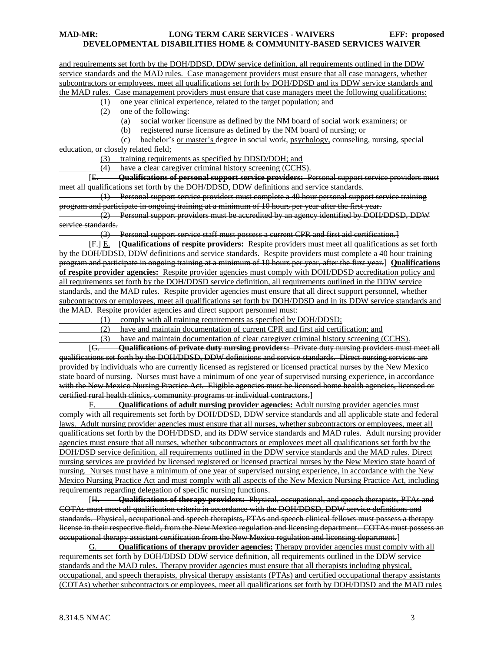and requirements set forth by the DOH/DDSD, DDW service definition, all requirements outlined in the DDW service standards and the MAD rules. Case management providers must ensure that all case managers, whether subcontractors or employees, meet all qualifications set forth by DOH/DDSD and its DDW service standards and the MAD rules. Case management providers must ensure that case managers meet the following qualifications:

(1) one year clinical experience, related to the target population; and

- (2) one of the following:
	- (a) social worker licensure as defined by the NM board of social work examiners; or
	- (b) registered nurse licensure as defined by the NM board of nursing; or

 (c) bachelor's or master's degree in social work, psychology, counseling, nursing, special education, or closely related field;

(3) training requirements as specified by DDSD/DOH; and

(4) have a clear caregiver criminal history screening (CCHS).

[E. **Qualifications of personal support service providers:** Personal support service providers must meet all qualifications set forth by the DOH/DDSD, DDW definitions and service standards.

 (1) Personal support service providers must complete a 40 hour personal support service training program and participate in ongoing training at a minimum of 10 hours per year after the first year.

 (2) Personal support providers must be accredited by an agency identified by DOH/DDSD, DDW service standards.

(3) Personal support service staff must possess a current CPR and first aid certification.]

[F.] E. [**Qualifications of respite providers:** Respite providers must meet all qualifications as set forth by the DOH/DDSD, DDW definitions and service standards. Respite providers must complete a 40 hour training program and participate in ongoing training at a minimum of 10 hours per year, after the first year.] **Qualifications of respite provider agencies:** Respite provider agencies must comply with DOH/DDSD accreditation policy and all requirements set forth by the DOH/DDSD service definition, all requirements outlined in the DDW service standards, and the MAD rules. Respite provider agencies must ensure that all direct support personnel, whether subcontractors or employees, meet all qualifications set forth by DOH/DDSD and in its DDW service standards and the MAD. Respite provider agencies and direct support personnel must:

(1) comply with all training requirements as specified by DOH/DDSD;

(2) have and maintain documentation of current CPR and first aid certification; and

(3) have and maintain documentation of clear caregiver criminal history screening (CCHS).

[G. **Qualifications of private duty nursing providers:** Private duty nursing providers must meet all qualifications set forth by the DOH/DDSD, DDW definitions and service standards. Direct nursing services are provided by individuals who are currently licensed as registered or licensed practical nurses by the New Mexico state board of nursing. Nurses must have a minimum of one year of supervised nursing experience, in accordance with the New Mexico Nursing Practice Act. Eligible agencies must be licensed home health agencies, licensed or certified rural health clinics, community programs or individual contractors.]

F. **Qualifications of adult nursing provider agencies:** Adult nursing provider agencies must comply with all requirements set forth by DOH/DDSD, DDW service standards and all applicable state and federal laws. Adult nursing provider agencies must ensure that all nurses, whether subcontractors or employees, meet all qualifications set forth by the DOH/DDSD, and its DDW service standards and MAD rules. Adult nursing provider agencies must ensure that all nurses, whether subcontractors or employees meet all qualifications set forth by the DOH/DSD service definition, all requirements outlined in the DDW service standards and the MAD rules. Direct nursing services are provided by licensed registered or licensed practical nurses by the New Mexico state board of nursing. Nurses must have a minimum of one year of supervised nursing experience, in accordance with the New Mexico Nursing Practice Act and must comply with all aspects of the New Mexico Nursing Practice Act, including requirements regarding delegation of specific nursing functions.<br> **[H. Cualifications of therany providers:** Physics

[H. **Qualifications of therapy providers:** Physical, occupational, and speech therapists, PTAs and COTAs must meet all qualification criteria in accordance with the DOH/DDSD, DDW service definitions and standards. Physical, occupational and speech therapists, PTAs and speech clinical fellows must possess a therapy license in their respective field, from the New Mexico regulation and licensing department. COTAs must possess an occupational therapy assistant certification from the New Mexico regulation and licensing department.]

G. **Qualifications of therapy provider agencies:** Therapy provider agencies must comply with all requirements set forth by DOH/DDSD DDW service definition, all requirements outlined in the DDW service standards and the MAD rules. Therapy provider agencies must ensure that all therapists including physical, occupational, and speech therapists, physical therapy assistants (PTAs) and certified occupational therapy assistants (COTAs) whether subcontractors or employees, meet all qualifications set forth by DOH/DDSD and the MAD rules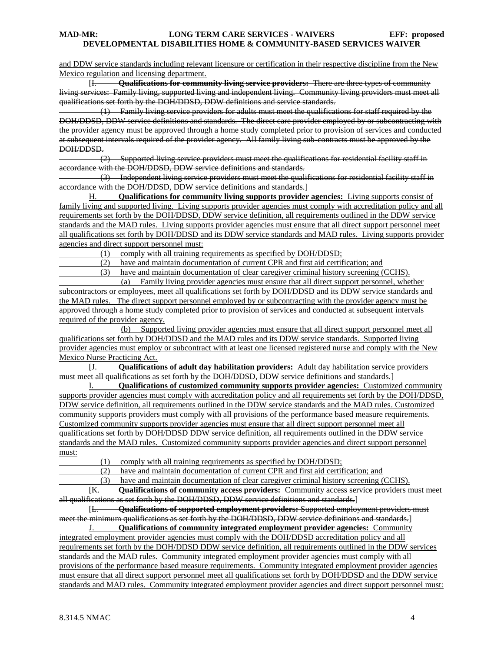and DDW service standards including relevant licensure or certification in their respective discipline from the New Mexico regulation and licensing department.

[I. **Qualifications for community living service providers:** There are three types of community living services: Family living, supported living and independent living. Community living providers must meet all qualifications set forth by the DOH/DDSD, DDW definitions and service standards.

Family living service providers for adults must meet the qualifications for staff required by the DOH/DDSD, DDW service definitions and standards. The direct care provider employed by or subcontracting with the provider agency must be approved through a home study completed prior to provision of services and conducted at subsequent intervals required of the provider agency. All family living sub-contracts must be approved by the DOH/DDSD.

 (2) Supported living service providers must meet the qualifications for residential facility staff in accordance with the DOH/DDSD, DDW service definitions and standards.

 (3) Independent living service providers must meet the qualifications for residential facility staff in accordance with the DOH/DDSD, DDW service definitions and standards.

H. **Qualifications for community living supports provider agencies:** Living supports consist of family living and supported living. Living supports provider agencies must comply with accreditation policy and all requirements set forth by the DOH/DDSD, DDW service definition, all requirements outlined in the DDW service standards and the MAD rules. Living supports provider agencies must ensure that all direct support personnel meet all qualifications set forth by DOH/DDSD and its DDW service standards and MAD rules. Living supports provider agencies and direct support personnel must:

(1) comply with all training requirements as specified by DOH/DDSD;

(2) have and maintain documentation of current CPR and first aid certification; and

(3) have and maintain documentation of clear caregiver criminal history screening (CCHS).

 (a) Family living provider agencies must ensure that all direct support personnel, whether subcontractors or employees, meet all qualifications set forth by DOH/DDSD and its DDW service standards and the MAD rules. The direct support personnel employed by or subcontracting with the provider agency must be approved through a home study completed prior to provision of services and conducted at subsequent intervals required of the provider agency.

 (b) Supported living provider agencies must ensure that all direct support personnel meet all qualifications set forth by DOH/DDSD and the MAD rules and its DDW service standards. Supported living provider agencies must employ or subcontract with at least one licensed registered nurse and comply with the New Mexico Nurse Practicing Act.

[J. **Qualifications of adult day habilitation providers:** Adult day habilitation service providers must meet all qualifications as set forth by the DOH/DDSD, DDW service definitions and standards.]

I. **Qualifications of customized community supports provider agencies:** Customized community supports provider agencies must comply with accreditation policy and all requirements set forth by the DOH/DDSD, DDW service definition, all requirements outlined in the DDW service standards and the MAD rules. Customized community supports providers must comply with all provisions of the performance based measure requirements. Customized community supports provider agencies must ensure that all direct support personnel meet all qualifications set forth by DOH/DDSD DDW service definition, all requirements outlined in the DDW service standards and the MAD rules. Customized community supports provider agencies and direct support personnel must:

(1) comply with all training requirements as specified by DOH/DDSD;

(2) have and maintain documentation of current CPR and first aid certification; and

(3) have and maintain documentation of clear caregiver criminal history screening (CCHS).

[K. **Qualifications of community access providers:** Community access service providers must meet all qualifications as set forth by the DOH/DDSD, DDW service definitions and standards.]

[L. **Qualifications of supported employment providers:** Supported employment providers must meet the minimum qualifications as set forth by the DOH/DDSD, DDW service definitions and standards.]

J. **Qualifications of community integrated employment provider agencies:** Community integrated employment provider agencies must comply with the DOH/DDSD accreditation policy and all requirements set forth by the DOH/DDSD DDW service definition, all requirements outlined in the DDW services standards and the MAD rules. Community integrated employment provider agencies must comply with all provisions of the performance based measure requirements. Community integrated employment provider agencies must ensure that all direct support personnel meet all qualifications set forth by DOH/DDSD and the DDW service standards and MAD rules. Community integrated employment provider agencies and direct support personnel must: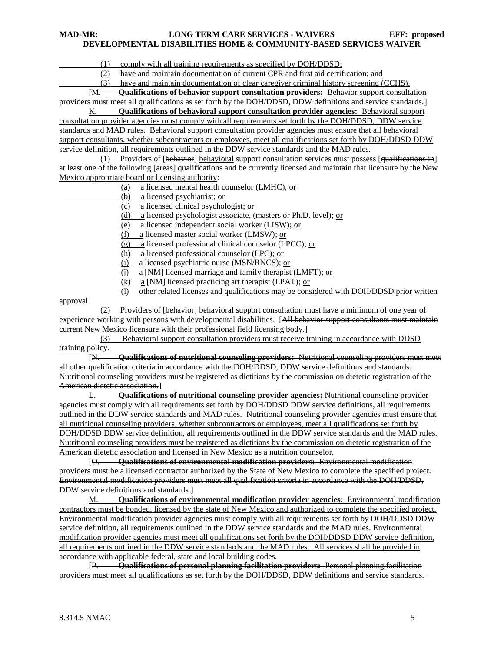(1) comply with all training requirements as specified by DOH/DDSD;

(2) have and maintain documentation of current CPR and first aid certification; and

(3) have and maintain documentation of clear caregiver criminal history screening (CCHS).

[M. **Qualifications of behavior support consultation providers:** Behavior support consultation providers must meet all qualifications as set forth by the DOH/DDSD, DDW definitions and service standards.]

K. **Qualifications of behavioral support consultation provider agencies:** Behavioral support consultation provider agencies must comply with all requirements set forth by the DOH/DDSD, DDW service standards and MAD rules. Behavioral support consultation provider agencies must ensure that all behavioral support consultants, whether subcontractors or employees, meet all qualifications set forth by DOH/DDSD DDW service definition, all requirements outlined in the DDW service standards and the MAD rules.

(1) Providers of [behavior] behavioral support consultation services must possess [qualifications in] at least one of the following [areas] qualifications and be currently licensed and maintain that licensure by the New Mexico appropriate board or licensing authority:

- (a) a licensed mental health counselor (LMHC), or
- (b) a licensed psychiatrist; or
- (c) a licensed clinical psychologist; or
- (d) a licensed psychologist associate, (masters or Ph.D. level); or
- (e) a licensed independent social worker (LISW); or

(f) a licensed master social worker (LMSW); or

(g) a licensed professional clinical counselor (LPCC); or

(h) a licensed professional counselor (LPC); or

(i) a licensed psychiatric nurse (MSN/RNCS); or

- (i) a [NM] licensed marriage and family therapist (LMFT); or
- (k) a [NM] licensed practicing art therapist (LPAT); or

(l) other related licenses and qualifications may be considered with DOH/DDSD prior written

approval.

(2) Providers of [behavior] behavioral support consultation must have a minimum of one year of experience working with persons with developmental disabilities. [All behavior support consultants must maintain current New Mexico licensure with their professional field licensing body.]

 (3) Behavioral support consultation providers must receive training in accordance with DDSD training policy.

[N. **Qualifications of nutritional counseling providers:** Nutritional counseling providers must meet all other qualification criteria in accordance with the DOH/DDSD, DDW service definitions and standards. Nutritional counseling providers must be registered as dietitians by the commission on dietetic registration of the American dietetic association.]

L. **Qualifications of nutritional counseling provider agencies:** Nutritional counseling provider agencies must comply with all requirements set forth by DOH/DDSD DDW service definitions, all requirements outlined in the DDW service standards and MAD rules. Nutritional counseling provider agencies must ensure that all nutritional counseling providers, whether subcontractors or employees, meet all qualifications set forth by DOH/DDSD DDW service definition, all requirements outlined in the DDW service standards and the MAD rules. Nutritional counseling providers must be registered as dietitians by the commission on dietetic registration of the American dietetic association and licensed in New Mexico as a nutrition counselor.

[O. **Qualifications of environmental modification providers:** Environmental modification providers must be a licensed contractor authorized by the State of New Mexico to complete the specified project. Environmental modification providers must meet all qualification criteria in accordance with the DOH/DDSD, DDW service definitions and standards.]

M. **Qualifications of environmental modification provider agencies:** Environmental modification contractors must be bonded, licensed by the state of New Mexico and authorized to complete the specified project. Environmental modification provider agencies must comply with all requirements set forth by DOH/DDSD DDW service definition, all requirements outlined in the DDW service standards and the MAD rules. Environmental modification provider agencies must meet all qualifications set forth by the DOH/DDSD DDW service definition, all requirements outlined in the DDW service standards and the MAD rules. All services shall be provided in accordance with applicable federal, state and local building codes.

[P. **Qualifications of personal planning facilitation providers:** Personal planning facilitation providers must meet all qualifications as set forth by the DOH/DDSD, DDW definitions and service standards.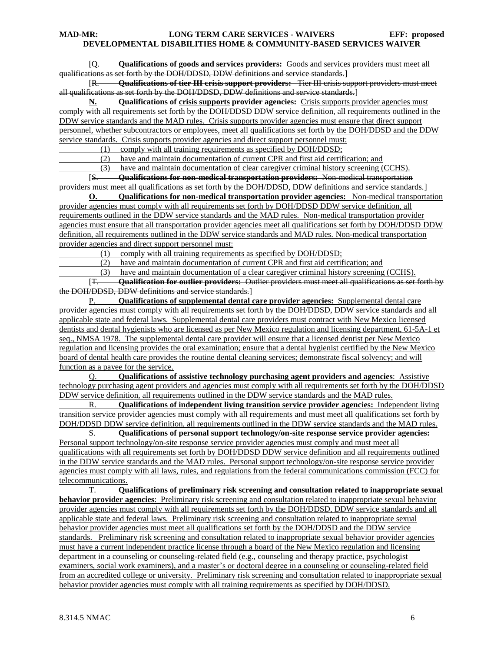[Q. **Qualifications of goods and services providers:** Goods and services providers must meet all qualifications as set forth by the DOH/DDSD, DDW definitions and service standards.]

[R. **Qualifications of tier III crisis support providers:** Tier III crisis support providers must meet all qualifications as set forth by the DOH/DDSD, DDW definitions and service standards.]

**N. Qualifications of crisis supports provider agencies:** Crisis supports provider agencies must comply with all requirements set forth by the DOH/DDSD DDW service definition, all requirements outlined in the DDW service standards and the MAD rules. Crisis supports provider agencies must ensure that direct support personnel, whether subcontractors or employees, meet all qualifications set forth by the DOH/DDSD and the DDW service standards. Crisis supports provider agencies and direct support personnel must:

(1) comply with all training requirements as specified by DOH/DDSD;

(2) have and maintain documentation of current CPR and first aid certification; and

(3) have and maintain documentation of clear caregiver criminal history screening (CCHS).

[S. **Qualifications for non-medical transportation providers:** Non-medical transportation providers must meet all qualifications as set forth by the DOH/DDSD, DDW definitions and service standards.]

**O. Qualifications for non-medical transportation provider agencies:** Non-medical transportation provider agencies must comply with all requirements set forth by DOH/DDSD DDW service definition, all requirements outlined in the DDW service standards and the MAD rules. Non-medical transportation provider agencies must ensure that all transportation provider agencies meet all qualifications set forth by DOH/DDSD DDW definition, all requirements outlined in the DDW service standards and MAD rules. Non-medical transportation provider agencies and direct support personnel must:

(1) comply with all training requirements as specified by DOH/DDSD;

(2) have and maintain documentation of current CPR and first aid certification; and

(3) have and maintain documentation of a clear caregiver criminal history screening (CCHS).<br>[<del>T. **Cualification for outlier providers:** Outlier providers must meet all qualifications as set a</del>

[T. **Qualification for outlier providers:** Outlier providers must meet all qualifications as set forth by the DOH/DDSD, DDW definitions and service standards.]

P. **Qualifications of supplemental dental care provider agencies:** Supplemental dental care provider agencies must comply with all requirements set forth by the DOH/DDSD, DDW service standards and all applicable state and federal laws. Supplemental dental care providers must contract with New Mexico licensed dentists and dental hygienists who are licensed as per New Mexico regulation and licensing department, 61-5A-1 et seq., NMSA 1978. The supplemental dental care provider will ensure that a licensed dentist per New Mexico regulation and licensing provides the oral examination; ensure that a dental hygienist certified by the New Mexico board of dental health care provides the routine dental cleaning services; demonstrate fiscal solvency; and will function as a payee for the service.

Q. **Qualifications of assistive technology purchasing agent providers and agencies**: Assistive technology purchasing agent providers and agencies must comply with all requirements set forth by the DOH/DDSD DDW service definition, all requirements outlined in the DDW service standards and the MAD rules.

R. **Qualifications of independent living transition service provider agencies:** Independent living transition service provider agencies must comply with all requirements and must meet all qualifications set forth by DOH/DDSD DDW service definition, all requirements outlined in the DDW service standards and the MAD rules.

S. **Qualifications of personal support technology/on-site response service provider agencies:**  Personal support technology/on-site response service provider agencies must comply and must meet all qualifications with all requirements set forth by DOH/DDSD DDW service definition and all requirements outlined in the DDW service standards and the MAD rules. Personal support technology/on-site response service provider agencies must comply with all laws, rules, and regulations from the federal communications commission (FCC) for telecommunications.

T. **Qualifications of preliminary risk screening and consultation related to inappropriate sexual behavior provider agencies**: Preliminary risk screening and consultation related to inappropriate sexual behavior provider agencies must comply with all requirements set forth by the DOH/DDSD, DDW service standards and all applicable state and federal laws. Preliminary risk screening and consultation related to inappropriate sexual behavior provider agencies must meet all qualifications set forth by the DOH/DDSD and the DDW service standards. Preliminary risk screening and consultation related to inappropriate sexual behavior provider agencies must have a current independent practice license through a board of the New Mexico regulation and licensing department in a counseling or counseling-related field (e.g., counseling and therapy practice, psychologist examiners, social work examiners), and a master's or doctoral degree in a counseling or counseling-related field from an accredited college or university. Preliminary risk screening and consultation related to inappropriate sexual behavior provider agencies must comply with all training requirements as specified by DOH/DDSD.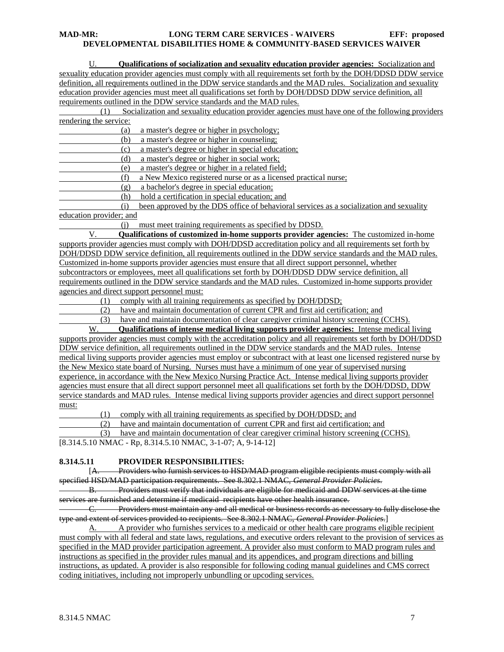U. **Qualifications of socialization and sexuality education provider agencies:** Socialization and sexuality education provider agencies must comply with all requirements set forth by the DOH/DDSD DDW service definition, all requirements outlined in the DDW service standards and the MAD rules. Socialization and sexuality education provider agencies must meet all qualifications set forth by DOH/DDSD DDW service definition, all requirements outlined in the DDW service standards and the MAD rules.

 (1) Socialization and sexuality education provider agencies must have one of the following providers rendering the service:

(a) a master's degree or higher in psychology;

(b) a master's degree or higher in counseling;

(c) a master's degree or higher in special education;

(d) a master's degree or higher in social work;

(e) a master's degree or higher in a related field;

(f) a New Mexico registered nurse or as a licensed practical nurse;

(g) a bachelor's degree in special education;

(h) hold a certification in special education; and

 (i) been approved by the DDS office of behavioral services as a socialization and sexuality education provider; and

(j) must meet training requirements as specified by DDSD.

V. **Qualifications of customized in-home supports provider agencies:** The customized in-home supports provider agencies must comply with DOH/DDSD accreditation policy and all requirements set forth by DOH/DDSD DDW service definition, all requirements outlined in the DDW service standards and the MAD rules. Customized in-home supports provider agencies must ensure that all direct support personnel, whether subcontractors or employees, meet all qualifications set forth by DOH/DDSD DDW service definition, all requirements outlined in the DDW service standards and the MAD rules. Customized in-home supports provider agencies and direct support personnel must:

(1) comply with all training requirements as specified by DOH/DDSD;

(2) have and maintain documentation of current CPR and first aid certification; and

(3) have and maintain documentation of clear caregiver criminal history screening (CCHS).

W. **Qualifications of intense medical living supports provider agencies:** Intense medical living supports provider agencies must comply with the accreditation policy and all requirements set forth by DOH/DDSD DDW service definition, all requirements outlined in the DDW service standards and the MAD rules. Intense medical living supports provider agencies must employ or subcontract with at least one licensed registered nurse by the New Mexico state board of Nursing. Nurses must have a minimum of one year of supervised nursing experience, in accordance with the New Mexico Nursing Practice Act. Intense medical living supports provider agencies must ensure that all direct support personnel meet all qualifications set forth by the DOH/DDSD, DDW service standards and MAD rules. Intense medical living supports provider agencies and direct support personnel must:

(1) comply with all training requirements as specified by DOH/DDSD; and

(2) have and maintain documentation of current CPR and first aid certification; and

(3) have and maintain documentation of clear caregiver criminal history screening (CCHS).

[8.314.5.10 NMAC - Rp, 8.314.5.10 NMAC, 3-1-07; A, 9-14-12]

# **8.314.5.11 PROVIDER RESPONSIBILITIES:**

[A. Providers who furnish services to HSD/MAD program eligible recipients must comply with all specified HSD/MAD participation requirements. See 8.302.1 NMAC, *General Provider Policies*.

B. Providers must verify that individuals are eligible for medicaid and DDW services at the time services are furnished and determine if medicaid recipients have other health insurance.

C. Providers must maintain any and all medical or business records as necessary to fully disclose the type and extent of services provided to recipients. See 8.302.1 NMAC, *General Provider Policies*.]

A. A provider who furnishes services to a medicaid or other health care programs eligible recipient must comply with all federal and state laws, regulations, and executive orders relevant to the provision of services as specified in the MAD provider participation agreement. A provider also must conform to MAD program rules and instructions as specified in the provider rules manual and its appendices, and program directions and billing instructions, as updated. A provider is also responsible for following coding manual guidelines and CMS correct coding initiatives, including not improperly unbundling or upcoding services.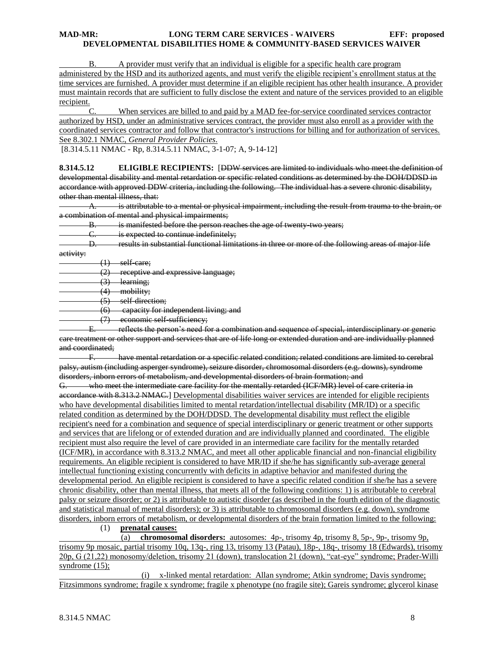B. A provider must verify that an individual is eligible for a specific health care program administered by the HSD and its authorized agents, and must verify the eligible recipient's enrollment status at the time services are furnished. A provider must determine if an eligible recipient has other health insurance. A provider must maintain records that are sufficient to fully disclose the extent and nature of the services provided to an eligible recipient.

C. When services are billed to and paid by a MAD fee-for-service coordinated services contractor authorized by HSD, under an administrative services contract, the provider must also enroll as a provider with the coordinated services contractor and follow that contractor's instructions for billing and for authorization of services. See 8.302.1 NMAC, *General Provider Policies*.

[8.314.5.11 NMAC - Rp, 8.314.5.11 NMAC, 3-1-07; A, 9-14-12]

**8.314.5.12 ELIGIBLE RECIPIENTS:** [DDW services are limited to individuals who meet the definition of developmental disability and mental retardation or specific related conditions as determined by the DOH/DDSD in accordance with approved DDW criteria, including the following. The individual has a severe chronic disability, other than mental illness, that:

A. is attributable to a mental or physical impairment, including the result from trauma to the brain, or a combination of mental and physical impairments;

B. is manifested before the person reaches the age of twenty-two years;

C. is expected to continue indefinitely;<br>D. Fesults in substantial functional limit

D. results in substantial functional limitations in three or more of the following areas of major life

activity:

 $(1)$  self-care;

(2) receptive and expressive language;

 $(3)$  learning;

(4) mobility;

(5) self-direction;

(6) capacity for independent living; and

(7) economic self-sufficiency;

E. reflects the person's need for a combination and sequence of special, interdisciplinary or generic care treatment or other support and services that are of life long or extended duration and are individually planned and coordinated;

F. have mental retardation or a specific related condition; related conditions are limited to cerebral palsy, autism (including asperger syndrome), seizure disorder, chromosomal disorders (e.g. downs), syndrome disorders, inborn errors of metabolism, and developmental disorders of brain formation; and

G. who meet the intermediate care facility for the mentally retarded (ICF/MR) level of care criteria in accordance with 8.313.2 NMAC.] Developmental disabilities waiver services are intended for eligible recipients who have developmental disabilities limited to mental retardation/intellectual disability (MR/ID) or a specific related condition as determined by the DOH/DDSD. The developmental disability must reflect the eligible recipient's need for a combination and sequence of special interdisciplinary or generic treatment or other supports and services that are lifelong or of extended duration and are individually planned and coordinated. The eligible recipient must also require the level of care provided in an intermediate care facility for the mentally retarded (ICF/MR), in accordance with 8.313.2 NMAC, and meet all other applicable financial and non-financial eligibility requirements. An eligible recipient is considered to have MR/ID if she/he has significantly sub-average general intellectual functioning existing concurrently with deficits in adaptive behavior and manifested during the developmental period. An eligible recipient is considered to have a specific related condition if she/he has a severe chronic disability, other than mental illness, that meets all of the following conditions: 1) is attributable to cerebral palsy or seizure disorder; or 2) is attributable to autistic disorder (as described in the fourth edition of the diagnostic and statistical manual of mental disorders); or 3) is attributable to chromosomal disorders (e.g. down), syndrome disorders, inborn errors of metabolism, or developmental disorders of the brain formation limited to the following:

(1) **prenatal causes:**

 (a) **chromosomal disorders:** autosomes: 4p-, trisomy 4p, trisomy 8, 5p-, 9p-, trisomy 9p, trisomy 9p mosaic, partial trisomy 10q, 13q-, ring 13, trisomy 13 (Patau), 18p-, 18q-, trisomy 18 (Edwards), trisomy 20p, G (21,22) monosomy/deletion, trisomy 21 (down), translocation 21 (down), "cat-eye" syndrome; Prader-Willi syndrome (15);

 (i) x-linked mental retardation: Allan syndrome; Atkin syndrome; Davis syndrome; Fitzsimmons syndrome; fragile x syndrome; fragile x phenotype (no fragile site); Gareis syndrome; glycerol kinase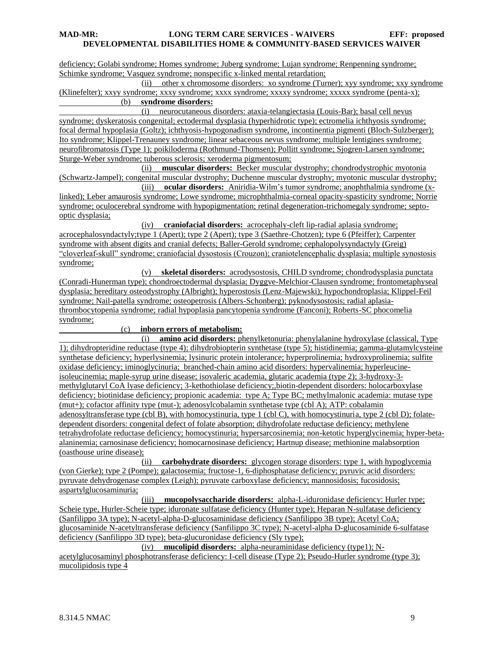deficiency; Golabi syndrome; Homes syndrome; Juberg syndrome; Lujan syndrome; Renpenning syndrome; Schimke syndrome; Vasquez syndrome; nonspecific x-linked mental retardation;

 (ii) other x chromosome disorders: xo syndrome (Turner); xyy syndrome; xxy syndrome (Klinefelter); xxyy syndrome; xxxy syndrome; xxxx syndrome; xxxxy syndrome; xxxxx syndrome (penta-x); (b) **syndrome disorders:**

 (i) neurocutaneous disorders: ataxia-telangiectasia (Louis-Bar); basal cell nevus syndrome; dyskeratosis congenital; ectodermal dysplasia (hyperhidrotic type); ectromelia ichthyosis syndrome; focal dermal hypoplasia (Goltz); ichthyosis-hypogonadism syndrome, incontinentia pigmenti (Bloch-Sulzberger); Ito syndrome; Klippel-Trenauney syndrome; linear sebaceous nevus syndrome; multiple lentigines syndrome; neurofibromatosis (Type 1); poikiloderma (Rothmund-Thomsen); Pollitt syndrome; Sjogren-Larsen syndrome; Sturge-Weber syndrome; tuberous sclerosis; xeroderma pigmentosum;

 (ii) **muscular disorders:** Becker muscular dystrophy; chondrodystrophic myotonia (Schwartz-Jampel); congenital muscular dystrophy; Duchenne muscular dystrophy; myotonic muscular dystrophy;

 (iii) **ocular disorders:** Aniridia-Wilm's tumor syndrome; anophthalmia syndrome (xlinked); Leber amaurosis syndrome; Lowe syndrome; microphthalmia-corneal opacity-spasticity syndrome; Norrie syndrome; oculocerebral syndrome with hypopigmentation; retinal degeneration-trichomegaly syndrome; septooptic dysplasia;

 (iv) **craniofacial disorders:** acrocephaly-cleft lip-radial aplasia syndrome; acrocephalosyndactyly;type 1 (Apert); type 2 (Apert); type 3 (Saethre-Chotzen); type 6 (Pfeiffer); Carpenter syndrome with absent digits and cranial defects; Baller-Gerold syndrome; cephalopolysyndactyly (Greig) "cloverleaf-skull" syndrome; craniofacial dysostosis (Crouzon); craniotelencephalic dysplasia; multiple synostosis syndrome;

 (v) **skeletal disorders:** acrodysostosis, CHILD syndrome; chondrodysplasia punctata (Conradi-Hunerman type); chondroectodermal dysplasia; Dyggve-Melchior-Clausen syndrome; frontometaphyseal dysplasia; hereditary osteodystrophy (Albright); hyperostosis (Lenz-Majewski); hypochondroplasia; Klippel-Feil syndrome; Nail-patella syndrome; osteopetrosis (Albers-Schonberg); pyknodysostosis; radial aplasiathrombocytopenia syndrome; radial hypoplasia pancytopenia syndrome (Fanconi); Roberts-SC phocomelia syndrome;

#### (c) **inborn errors of metabolism:**

 (i) **amino acid disorders:** phenylketonuria: phenylalanine hydroxylase (classical, Type 1); dihydropteridine reductase (type 4); dihydrobiopterin synthetase (type 5); histidinemia; gamma-glutamylcysteine synthetase deficiency; hyperlysinemia; lysinuric protein intolerance; hyperprolinemia; hydroxyprolinemia; sulfite oxidase deficiency; iminoglycinuria; branched-chain amino acid disorders: hypervalinemia; hyperleucineisoleucinemia; maple-syrup urine disease; isovaleric academia, glutaric academia (type 2); 3-hydroxy-3 methylglutaryl CoA lyase deficiency; 3-kethothiolase deficiency;,biotin-dependent disorders: holocarboxylase deficiency; biotinidase deficiency; propionic academia: type A; Type BC; methylmalonic academia: mutase type (mut+); cofactor affinity type (mut-); adenosylcobalamin synthetase type (cbl A); ATP: cobalamin adenosyltransferase type (cbl B), with homocystinuria, type 1 (cbl C), with homocystinuria, type 2 (cbl D); folatedependent disorders: congenital defect of folate absorption; dihydrofolate reductase deficiency; methylene tetrahydrofolate reductase deficiency; homocystinuria; hypersarcosinemia; non-ketotic hyperglycinemia; hyper-betaalaninemia; carnosinase deficiency; homocarnosinase deficiency; Hartnup disease; methionine malabsorption (oasthouse urine disease);

 (ii) **carbohydrate disorders:** glycogen storage disorders: type 1, with hypoglycemia (von Gierke); type 2 (Pompe); galactosemia; fructose-1, 6-diphosphatase deficiency; pyruvic acid disorders: pyruvate dehydrogenase complex (Leigh); pyruvate carboxylase deficiency; mannosidosis; fucosidosis; aspartylglucosaminuria;

 (iii) **mucopolysaccharide disorders:** alpha-L-iduronidase deficiency: Hurler type; Scheie type, Hurler-Scheie type; iduronate sulfatase deficiency (Hunter type); Heparan N-sulfatase deficiency (Sanfilippo 3A type); N-acetyl-alpha-D-glucosaminidase deficiency (Sanfilippo 3B type); Acetyl CoA; glucosaminide N-acetyltransferase deficiency (Sanfilippo 3C type); N-acetyl-alpha D-glucosaminide 6-sulfatase deficiency (Sanfilippo 3D type); beta-glucuronidase deficiency (Sly type);

(iv) **mucolipid disorders:** alpha-neuraminidase deficiency (type1); N-

acetylglucosaminyl phosphotransferase deficiency: I-cell disease (Type 2); Pseudo-Hurler syndrome (type 3); mucolipidosis type 4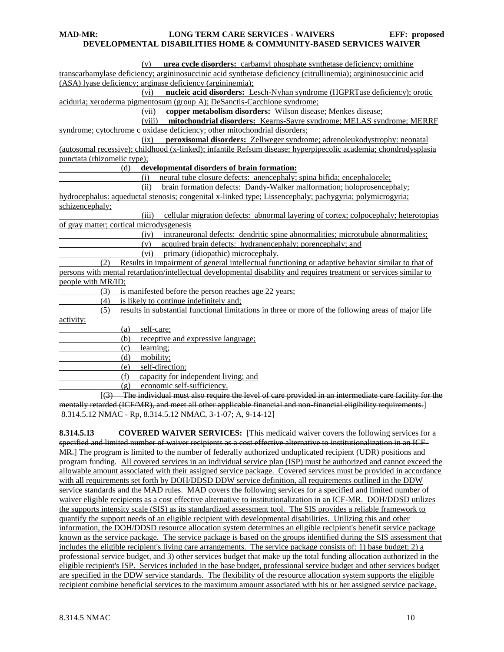| (v) urea cycle disorders: carbamyl phosphate synthetase deficiency; ornithine                                       |
|---------------------------------------------------------------------------------------------------------------------|
| transcarbamylase deficiency; argininosuccinic acid synthetase deficiency (citrullinemia); argininosuccinic acid     |
| (ASA) lyase deficiency; arginase deficiency (argininemia);                                                          |
| nucleic acid disorders: Lesch-Nyhan syndrome (HGPRTase deficiency); orotic<br>(vi)                                  |
| aciduria; xeroderma pigmentosum (group A); DeSanctis-Cacchione syndrome;                                            |
| copper metabolism disorders: Wilson disease; Menkes disease;<br>(vii)                                               |
| mitochondrial disorders: Kearns-Sayre syndrome; MELAS syndrome; MERRF<br>(viii)                                     |
| syndrome; cytochrome c oxidase deficiency; other mitochondrial disorders;                                           |
| peroxisomal disorders: Zellweger syndrome; adrenoleukodystrophy: neonatal<br>(ix)                                   |
| (autosomal recessive); childhood (x-linked); infantile Refsum disease; hyperpipecolic academia; chondrodysplasia    |
| punctata (rhizomelic type);                                                                                         |
| (d)<br>developmental disorders of brain formation:                                                                  |
| neural tube closure defects: anencephaly; spina bifida; encephalocele;<br>(i)                                       |
| (ii) brain formation defects: Dandy-Walker malformation; holoprosencephaly;                                         |
| hydrocephalus: aqueductal stenosis; congenital x-linked type; Lissencephaly; pachygyria; polymicrogyria;            |
| schizencephaly;                                                                                                     |
| cellular migration defects: abnormal layering of cortex; colpocephaly; heterotopias<br>(iii)                        |
| of gray matter; cortical microdysgenesis                                                                            |
| intraneuronal defects: dendritic spine abnormalities; microtubule abnormalities;<br>(iv)                            |
| acquired brain defects: hydranencephaly; porencephaly; and<br>(v)                                                   |
| primary (idiopathic) microcephaly.<br>(vi)                                                                          |
| (2) Results in impairment of general intellectual functioning or adaptive behavior similar to that of               |
| persons with mental retardation/intellectual developmental disability and requires treatment or services similar to |
| people with MR/ID;                                                                                                  |
| is manifested before the person reaches age 22 years;<br>(3)                                                        |
| is likely to continue indefinitely and;<br>(4)                                                                      |
| results in substantial functional limitations in three or more of the following areas of major life<br>(5)          |
| activity:                                                                                                           |
| self-care;<br>(a)                                                                                                   |
| receptive and expressive language;<br>(b)                                                                           |
| learning;<br>(c)                                                                                                    |
| mobility;<br>(d)                                                                                                    |
| self-direction;<br>(e)                                                                                              |
| capacity for independent living; and<br>(f)                                                                         |
| (g) economic self-sufficiency.                                                                                      |
| [(3) The individual must also require the level of care provided in an intermediate care facility for the           |
| mentally retarded (ICF/MR), and meet all other applicable financial and non-financial eligibility requirements.]    |
| 8.314.5.12 NMAC - Rp, 8.314.5.12 NMAC, 3-1-07; A, 9-14-12]                                                          |
|                                                                                                                     |

**8.314.5.13 COVERED WAIVER SERVICES:** [This medicaid waiver covers the following services for a specified and limited number of waiver recipients as a cost effective alternative to institutionalization in an ICF-MR.] The program is limited to the number of federally authorized unduplicated recipient (UDR) positions and program funding. All covered services in an individual service plan (ISP) must be authorized and cannot exceed the allowable amount associated with their assigned service package. Covered services must be provided in accordance with all requirements set forth by DOH/DDSD DDW service definition, all requirements outlined in the DDW service standards and the MAD rules. MAD covers the following services for a specified and limited number of waiver eligible recipients as a cost effective alternative to institutionalization in an ICF-MR. DOH/DDSD utilizes the supports intensity scale (SIS) as its standardized assessment tool. The SIS provides a reliable framework to quantify the support needs of an eligible recipient with developmental disabilities. Utilizing this and other information, the DOH/DDSD resource allocation system determines an eligible recipient's benefit service package known as the service package. The service package is based on the groups identified during the SIS assessment that includes the eligible recipient's living care arrangements. The service package consists of: 1) base budget; 2) a professional service budget, and 3) other services budget that make up the total funding allocation authorized in the eligible recipient's ISP. Services included in the base budget, professional service budget and other services budget are specified in the DDW service standards. The flexibility of the resource allocation system supports the eligible recipient combine beneficial services to the maximum amount associated with his or her assigned service package.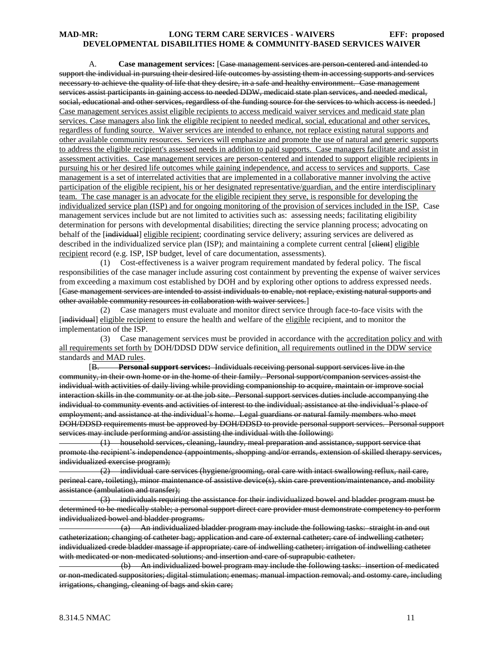A. **Case management services:** [Case management services are person-centered and intended to support the individual in pursuing their desired life outcomes by assisting them in accessing supports and services necessary to achieve the quality of life that they desire, in a safe and healthy environment. Case management services assist participants in gaining access to needed DDW, medicaid state plan services, and needed medical, social, educational and other services, regardless of the funding source for the services to which access is needed.] Case management services assist eligible recipients to access medicaid waiver services and medicaid state plan services. Case managers also link the eligible recipient to needed medical, social, educational and other services, regardless of funding source. Waiver services are intended to enhance, not replace existing natural supports and other available community resources. Services will emphasize and promote the use of natural and generic supports to address the eligible recipient's assessed needs in addition to paid supports. Case managers facilitate and assist in assessment activities. Case management services are person-centered and intended to support eligible recipients in pursuing his or her desired life outcomes while gaining independence, and access to services and supports. Case management is a set of interrelated activities that are implemented in a collaborative manner involving the active participation of the eligible recipient, his or her designated representative/guardian, and the entire interdisciplinary team. The case manager is an advocate for the eligible recipient they serve, is responsible for developing the individualized service plan (ISP) and for ongoing monitoring of the provision of services included in the ISP. Case management services include but are not limited to activities such as: assessing needs; facilitating eligibility determination for persons with developmental disabilities; directing the service planning process; advocating on behalf of the [individual] eligible recipient; coordinating service delivery; assuring services are delivered as described in the individualized service plan (ISP); and maintaining a complete current central [elient] eligible recipient record (e.g. ISP, ISP budget, level of care documentation, assessments).

 (1) Cost-effectiveness is a waiver program requirement mandated by federal policy. The fiscal responsibilities of the case manager include assuring cost containment by preventing the expense of waiver services from exceeding a maximum cost established by DOH and by exploring other options to address expressed needs. [Case management services are intended to assist individuals to enable, not replace, existing natural supports and other available community resources in collaboration with waiver services.]

 (2) Case managers must evaluate and monitor direct service through face-to-face visits with the [individual] eligible recipient to ensure the health and welfare of the eligible recipient, and to monitor the implementation of the ISP.

 (3) Case management services must be provided in accordance with the accreditation policy and with all requirements set forth by DOH/DDSD DDW service definition, all requirements outlined in the DDW service standards and MAD rules.

[B. **Personal support services:** Individuals receiving personal support services live in the community, in their own home or in the home of their family. Personal support/companion services assist the individual with activities of daily living while providing companionship to acquire, maintain or improve social interaction skills in the community or at the job site. Personal support services duties include accompanying the individual to community events and activities of interest to the individual; assistance at the individual's place of employment; and assistance at the individual's home. Legal guardians or natural family members who meet DOH/DDSD requirements must be approved by DOH/DDSD to provide personal support services. Personal support services may include performing and/or assisting the individual with the following:

 (1) household services, cleaning, laundry, meal preparation and assistance, support service that promote the recipient's independence (appointments, shopping and/or errands, extension of skilled therapy services, individualized exercise program);

 (2) individual care services (hygiene/grooming, oral care with intact swallowing reflux, nail care, perineal care, toileting), minor maintenance of assistive device(s), skin care prevention/maintenance, and mobility assistance (ambulation and transfer);

 (3) individuals requiring the assistance for their individualized bowel and bladder program must be determined to be medically stable; a personal support direct care provider must demonstrate competency to perform individualized bowel and bladder programs.

 (a) An individualized bladder program may include the following tasks: straight in and out catheterization; changing of catheter bag; application and care of external catheter; care of indwelling catheter; individualized crede bladder massage if appropriate; care of indwelling catheter; irrigation of indwelling catheter with medicated or non-medicated solutions; and insertion and care of suprapubic catheter.

 (b) An individualized bowel program may include the following tasks: insertion of medicated or non-medicated suppositories; digital stimulation; enemas; manual impaction removal; and ostomy care, including irrigations, changing, cleaning of bags and skin care;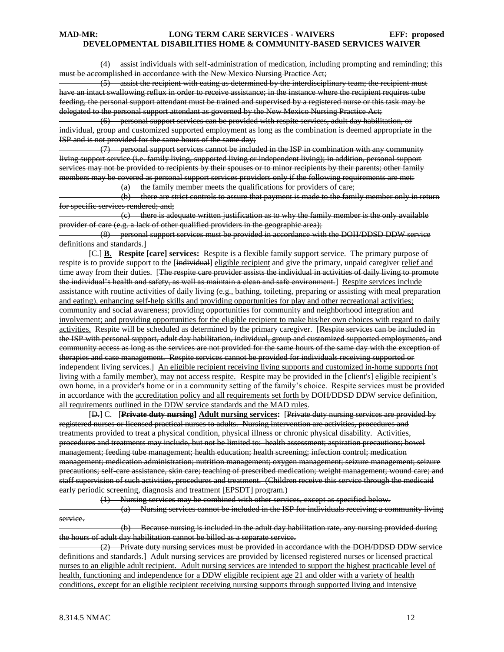(4) assist individuals with self-administration of medication, including prompting and reminding; this must be accomplished in accordance with the New Mexico Nursing Practice Act;

 (5) assist the recipient with eating as determined by the interdisciplinary team; the recipient must have an intact swallowing reflux in order to receive assistance; in the instance where the recipient requires tube feeding, the personal support attendant must be trained and supervised by a registered nurse or this task may be delegated to the personal support attendant as governed by the New Mexico Nursing Practice Act;

 (6) personal support services can be provided with respite services, adult day habilitation, or individual, group and customized supported employment as long as the combination is deemed appropriate in the ISP and is not provided for the same hours of the same day;

 (7) personal support services cannot be included in the ISP in combination with any community living support service (i.e. family living, supported living or independent living); in addition, personal support services may not be provided to recipients by their spouses or to minor recipients by their parents; other family members may be covered as personal support services providers only if the following requirements are met:

(a) the family member meets the qualifications for providers of care;

 (b) there are strict controls to assure that payment is made to the family member only in return for specific services rendered; and;

 (c) there is adequate written justification as to why the family member is the only available provider of care (e.g. a lack of other qualified providers in the geographic area);

 (8) personal support services must be provided in accordance with the DOH/DDSD DDW service definitions and standards.]

[C.] **B**. **Respite [care] services:** Respite is a flexible family support service. The primary purpose of respite is to provide support to the [individual] eligible recipient and give the primary, unpaid caregiver relief and time away from their duties. [The respite care provider assists the individual in activities of daily living to promote the individual's health and safety, as well as maintain a clean and safe environment.] Respite services include assistance with routine activities of daily living (e.g., bathing, toileting, preparing or assisting with meal preparation and eating), enhancing self-help skills and providing opportunities for play and other recreational activities; community and social awareness; providing opportunities for community and neighborhood integration and involvement; and providing opportunities for the eligible recipient to make his/her own choices with regard to daily activities. Respite will be scheduled as determined by the primary caregiver. [Respite services can be included in the ISP with personal support, adult day habilitation, individual, group and customized supported employments, and community access as long as the services are not provided for the same hours of the same day with the exception of therapies and case management. Respite services cannot be provided for individuals receiving supported or independent living services.] An eligible recipient receiving living supports and customized in-home supports (not living with a family member), may not access respite. Respite may be provided in the [elient's] eligible recipient's own home, in a provider's home or in a community setting of the family's choice. Respite services must be provided in accordance with the accreditation policy and all requirements set forth by DOH/DDSD DDW service definition, all requirements outlined in the DDW service standards and the MAD rules.

[D.] C. [**Private duty nursing] Adult nursing services:** [Private duty nursing services are provided by registered nurses or licensed practical nurses to adults. Nursing intervention are activities, procedures and treatments provided to treat a physical condition, physical illness or chronic physical disability. Activities, procedures and treatments may include, but not be limited to: health assessment; aspiration precautions; bowel management; feeding tube management; health education; health screening; infection control; medication management; medication administration; nutrition management; oxygen management; seizure management; seizure precautions; self-care assistance, skin care; teaching of prescribed medication; weight management; wound care; and staff supervision of such activities, procedures and treatment. (Children receive this service through the medicaid early periodic screening, diagnosis and treatment [EPSDT] program.)

 (1) Nursing services may be combined with other services, except as specified below. (a) Nursing services cannot be included in the ISP for individuals receiving a community living service.

 (b) Because nursing is included in the adult day habilitation rate, any nursing provided during the hours of adult day habilitation cannot be billed as a separate service.

 (2) Private duty nursing services must be provided in accordance with the DOH/DDSD DDW service definitions and standards.] Adult nursing services are provided by licensed registered nurses or licensed practical nurses to an eligible adult recipient. Adult nursing services are intended to support the highest practicable level of health, functioning and independence for a DDW eligible recipient age 21 and older with a variety of health conditions, except for an eligible recipient receiving nursing supports through supported living and intensive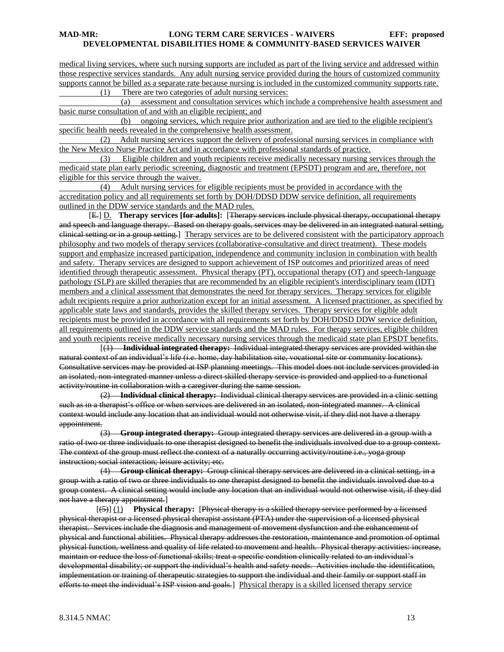medical living services, where such nursing supports are included as part of the living service and addressed within those respective services standards. Any adult nursing service provided during the hours of customized community supports cannot be billed as a separate rate because nursing is included in the customized community supports rate. (1) There are two categories of adult nursing services:

 (a) assessment and consultation services which include a comprehensive health assessment and basic nurse consultation of and with an eligible recipient; and

 (b) ongoing services, which require prior authorization and are tied to the eligible recipient's specific health needs revealed in the comprehensive health assessment.

 (2) Adult nursing services support the delivery of professional nursing services in compliance with the New Mexico Nurse Practice Act and in accordance with professional standards of practice.

 (3) Eligible children and youth recipients receive medically necessary nursing services through the medicaid state plan early periodic screening, diagnostic and treatment (EPSDT) program and are, therefore, not eligible for this service through the waiver.

 (4) Adult nursing services for eligible recipients must be provided in accordance with the accreditation policy and all requirements set forth by DOH/DDSD DDW service definition, all requirements outlined in the DDW service standards and the MAD rules.

[E.] D. **Therapy services [for adults]:** [Therapy services include physical therapy, occupational therapy and speech and language therapy. Based on therapy goals, services may be delivered in an integrated natural setting, clinical setting or in a group setting.] Therapy services are to be delivered consistent with the participatory approach philosophy and two models of therapy services (collaborative-consultative and direct treatment). These models support and emphasize increased participation, independence and community inclusion in combination with health and safety. Therapy services are designed to support achievement of ISP outcomes and prioritized areas of need identified through therapeutic assessment. Physical therapy (PT), occupational therapy (OT) and speech-language pathology (SLP) are skilled therapies that are recommended by an eligible recipient's interdisciplinary team (IDT) members and a clinical assessment that demonstrates the need for therapy services. Therapy services for eligible adult recipients require a prior authorization except for an initial assessment. A licensed practitioner, as specified by applicable state laws and standards, provides the skilled therapy services. Therapy services for eligible adult recipients must be provided in accordance with all requirements set forth by DOH/DDSD DDW service definition, all requirements outlined in the DDW service standards and the MAD rules. For therapy services, eligible children and youth recipients receive medically necessary nursing services through the medicaid state plan EPSDT benefits.

 [(1) **Individual integrated therapy:** Individual integrated therapy services are provided within the natural context of an individual's life (i.e. home, day habilitation site, vocational site or community locations). Consultative services may be provided at ISP planning meetings. This model does not include services provided in an isolated, non-integrated manner unless a direct skilled therapy service is provided and applied to a functional activity/routine in collaboration with a caregiver during the same session.

 (2) **Individual clinical therapy:** Individual clinical therapy services are provided in a clinic setting such as in a therapist's office or when services are delivered in an isolated, non-integrated manner. A clinical context would include any location that an individual would not otherwise visit, if they did not have a therapy appointment.

 (3) **Group integrated therapy:** Group integrated therapy services are delivered in a group with a ratio of two or three individuals to one therapist designed to benefit the individuals involved due to a group context. The context of the group must reflect the context of a naturally occurring activity/routine i.e., yoga group instruction; social interaction; leisure activity; etc.

 (4) **Group clinical therapy:** Group clinical therapy services are delivered in a clinical setting, in a group with a ratio of two or three individuals to one therapist designed to benefit the individuals involved due to a group context. A clinical setting would include any location that an individual would not otherwise visit, if they did not have a therapy appointment.]

 [(5)] (1) **Physical therapy:** [Physical therapy is a skilled therapy service performed by a licensed physical therapist or a licensed physical therapist assistant (PTA) under the supervision of a licensed physical therapist. Services include the diagnosis and management of movement dysfunction and the enhancement of physical and functional abilities. Physical therapy addresses the restoration, maintenance and promotion of optimal physical function, wellness and quality of life related to movement and health. Physical therapy activities: increase, maintain or reduce the loss of functional skills; treat a specific condition clinically related to an individual's developmental disability; or support the individual's health and safety needs. Activities include the identification, implementation or training of therapeutic strategies to support the individual and their family or support staff in efforts to meet the individual's ISP vision and goals.] Physical therapy is a skilled licensed therapy service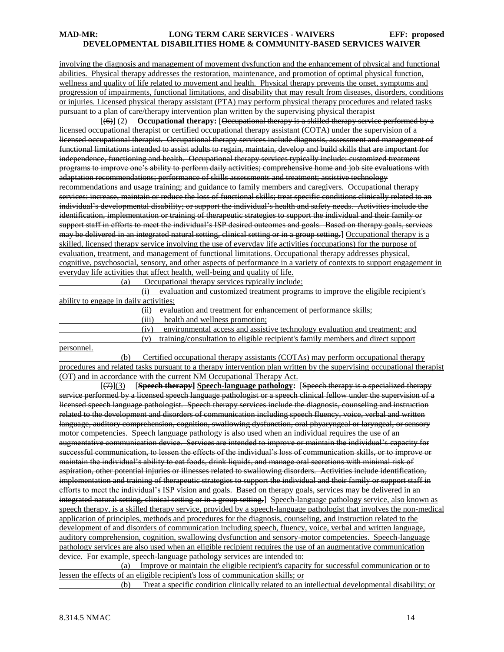involving the diagnosis and management of movement dysfunction and the enhancement of physical and functional abilities. Physical therapy addresses the restoration, maintenance, and promotion of optimal physical function, wellness and quality of life related to movement and health. Physical therapy prevents the onset, symptoms and progression of impairments, functional limitations, and disability that may result from diseases, disorders, conditions or injuries. Licensed physical therapy assistant (PTA) may perform physical therapy procedures and related tasks pursuant to a plan of care/therapy intervention plan written by the supervising physical therapist

 [(6)] (2) **Occupational therapy:** [Occupational therapy is a skilled therapy service performed by a licensed occupational therapist or certified occupational therapy assistant (COTA) under the supervision of a licensed occupational therapist. Occupational therapy services include diagnosis, assessment and management of functional limitations intended to assist adults to regain, maintain, develop and build skills that are important for independence, functioning and health. Occupational therapy services typically include: customized treatment programs to improve one's ability to perform daily activities; comprehensive home and job site evaluations with adaptation recommendations; performance of skills assessments and treatment; assistive technology recommendations and usage training; and guidance to family members and caregivers. Occupational therapy services: increase, maintain or reduce the loss of functional skills; treat specific conditions clinically related to an individual's developmental disability; or support the individual's health and safety needs. Activities include the identification, implementation or training of therapeutic strategies to support the individual and their family or support staff in efforts to meet the individual's ISP desired outcomes and goals. Based on therapy goals, services may be delivered in an integrated natural setting, clinical setting or in a group setting. [Occupational therapy is a skilled, licensed therapy service involving the use of everyday life activities (occupations) for the purpose of evaluation, treatment, and management of functional limitations. Occupational therapy addresses physical, cognitive, psychosocial, sensory, and other aspects of performance in a variety of contexts to support engagement in everyday life activities that affect health, well-being and quality of life.

(a) Occupational therapy services typically include:

 (i) evaluation and customized treatment programs to improve the eligible recipient's ability to engage in daily activities;

(ii) evaluation and treatment for enhancement of performance skills;

(iii) health and wellness promotion;

(iv) environmental access and assistive technology evaluation and treatment; and (v) training/consultation to eligible recipient's family members and direct support

personnel.

 (b) Certified occupational therapy assistants (COTAs) may perform occupational therapy procedures and related tasks pursuant to a therapy intervention plan written by the supervising occupational therapist (OT) and in accordance with the current NM Occupational Therapy Act.

 [(7)](3) [**Speech therapy] Speech-language pathology:** [Speech therapy is a specialized therapy service performed by a licensed speech language pathologist or a speech clinical fellow under the supervision of a licensed speech language pathologist. Speech therapy services include the diagnosis, counseling and instruction related to the development and disorders of communication including speech fluency, voice, verbal and written language, auditory comprehension, cognition, swallowing dysfunction, oral phyaryngeal or laryngeal, or sensory motor competencies. Speech language pathology is also used when an individual requires the use of an augmentative communication device. Services are intended to improve or maintain the individual's capacity for successful communication, to lessen the effects of the individual's loss of communication skills, or to improve or maintain the individual's ability to eat foods, drink liquids, and manage oral secretions with minimal risk of aspiration, other potential injuries or illnesses related to swallowing disorders. Activities include identification, implementation and training of therapeutic strategies to support the individual and their family or support staff in efforts to meet the individual's ISP vision and goals. Based on therapy goals, services may be delivered in an integrated natural setting, clinical setting or in a group setting.] Speech-language pathology service, also known as speech therapy, is a skilled therapy service, provided by a speech-language pathologist that involves the non-medical application of principles, methods and procedures for the diagnosis, counseling, and instruction related to the development of and disorders of communication including speech, fluency, voice, verbal and written language, auditory comprehension, cognition, swallowing dysfunction and sensory-motor competencies. Speech-language pathology services are also used when an eligible recipient requires the use of an augmentative communication device. For example, speech-language pathology services are intended to:

 (a) Improve or maintain the eligible recipient's capacity for successful communication or to lessen the effects of an eligible recipient's loss of communication skills; or

(b) Treat a specific condition clinically related to an intellectual developmental disability; or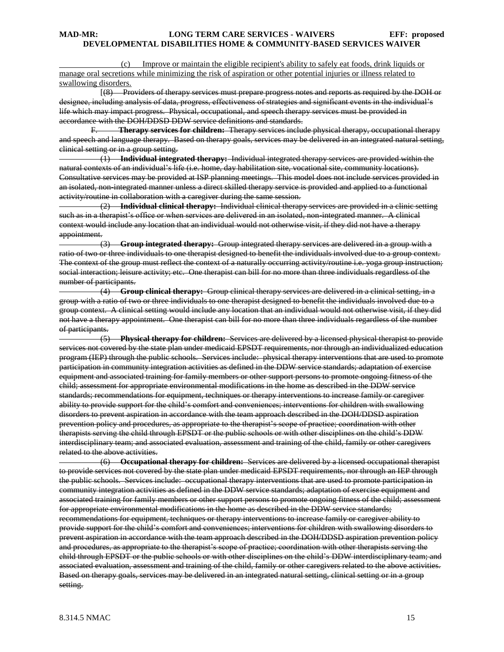Improve or maintain the eligible recipient's ability to safely eat foods, drink liquids or manage oral secretions while minimizing the risk of aspiration or other potential injuries or illness related to swallowing disorders.

 [(8) Providers of therapy services must prepare progress notes and reports as required by the DOH or designee, including analysis of data, progress, effectiveness of strategies and significant events in the individual's life which may impact progress. Physical, occupational, and speech therapy services must be provided in accordance with the DOH/DDSD DDW service definitions and standards.

F. **Therapy services for children:** Therapy services include physical therapy, occupational therapy and speech and language therapy. Based on therapy goals, services may be delivered in an integrated natural setting, clinical setting or in a group setting.

 (1) **Individual integrated therapy:** Individual integrated therapy services are provided within the natural contexts of an individual's life (i.e. home, day habilitation site, vocational site, community locations). Consultative services may be provided at ISP planning meetings. This model does not include services provided in an isolated, non-integrated manner unless a direct skilled therapy service is provided and applied to a functional activity/routine in collaboration with a caregiver during the same session.

 (2) **Individual clinical therapy:** Individual clinical therapy services are provided in a clinic setting such as in a therapist's office or when services are delivered in an isolated, non-integrated manner. A clinical context would include any location that an individual would not otherwise visit, if they did not have a therapy appointment.

 (3) **Group integrated therapy:** Group integrated therapy services are delivered in a group with a ratio of two or three individuals to one therapist designed to benefit the individuals involved due to a group context. The context of the group must reflect the context of a naturally occurring activity/routine i.e. yoga group instruction; social interaction; leisure activity; etc. One therapist can bill for no more than three individuals regardless of the number of participants.

 (4) **Group clinical therapy:** Group clinical therapy services are delivered in a clinical setting, in a group with a ratio of two or three individuals to one therapist designed to benefit the individuals involved due to a group context. A clinical setting would include any location that an individual would not otherwise visit, if they did not have a therapy appointment. One therapist can bill for no more than three individuals regardless of the number of participants.

 (5) **Physical therapy for children:** Services are delivered by a licensed physical therapist to provide services not covered by the state plan under medicaid EPSDT requirements, nor through an individualized education program (IEP) through the public schools. Services include: physical therapy interventions that are used to promote participation in community integration activities as defined in the DDW service standards; adaptation of exercise equipment and associated training for family members or other support persons to promote ongoing fitness of the child; assessment for appropriate environmental modifications in the home as described in the DDW service standards; recommendations for equipment, techniques or therapy interventions to increase family or caregiver ability to provide support for the child's comfort and conveniences; interventions for children with swallowing disorders to prevent aspiration in accordance with the team approach described in the DOH/DDSD aspiration prevention policy and procedures, as appropriate to the therapist's scope of practice; coordination with other therapists serving the child through EPSDT or the public schools or with other disciplines on the child's DDW interdisciplinary team; and associated evaluation, assessment and training of the child, family or other caregivers related to the above activities.

 (6) **Occupational therapy for children:** Services are delivered by a licensed occupational therapist to provide services not covered by the state plan under medicaid EPSDT requirements, nor through an IEP through the public schools. Services include: occupational therapy interventions that are used to promote participation in community integration activities as defined in the DDW service standards; adaptation of exercise equipment and associated training for family members or other support persons to promote ongoing fitness of the child; assessment for appropriate environmental modifications in the home as described in the DDW service standards; recommendations for equipment, techniques or therapy interventions to increase family or caregiver ability to provide support for the child's comfort and conveniences; interventions for children with swallowing disorders to prevent aspiration in accordance with the team approach described in the DOH/DDSD aspiration prevention policy and procedures, as appropriate to the therapist's scope of practice; coordination with other therapists serving the child through EPSDT or the public schools or with other disciplines on the child's DDW interdisciplinary team; and associated evaluation, assessment and training of the child, family or other caregivers related to the above activities. Based on therapy goals, services may be delivered in an integrated natural setting, clinical setting or in a group setting.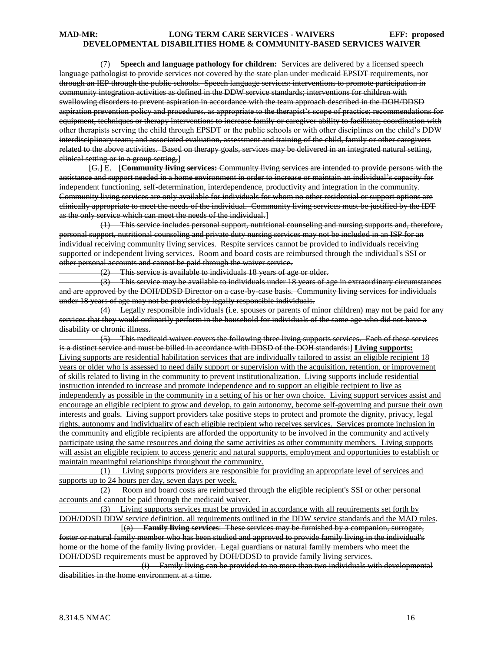(7) **Speech and language pathology for children:** Services are delivered by a licensed speech language pathologist to provide services not covered by the state plan under medicaid EPSDT requirements, nor through an IEP through the public schools. Speech language services: interventions to promote participation in community integration activities as defined in the DDW service standards; interventions for children with swallowing disorders to prevent aspiration in accordance with the team approach described in the DOH/DDSD aspiration prevention policy and procedures, as appropriate to the therapist's scope of practice; recommendations for equipment, techniques or therapy interventions to increase family or caregiver ability to facilitate; coordination with other therapists serving the child through EPSDT or the public schools or with other disciplines on the child's DDW interdisciplinary team; and associated evaluation, assessment and training of the child, family or other caregivers related to the above activities. Based on therapy goals, services may be delivered in an integrated natural setting, clinical setting or in a group setting.]

[G.] E. [**Community living services:** Community living services are intended to provide persons with the assistance and support needed in a home environment in order to increase or maintain an individual's capacity for independent functioning, self-determination, interdependence, productivity and integration in the community. Community living services are only available for individuals for whom no other residential or support options are clinically appropriate to meet the needs of the individual. Community living services must be justified by the IDT as the only service which can meet the needs of the individual.]

 (1) This service includes personal support, nutritional counseling and nursing supports and, therefore, personal support, nutritional counseling and private duty nursing services may not be included in an ISP for an individual receiving community living services. Respite services cannot be provided to individuals receiving supported or independent living services. Room and board costs are reimbursed through the individual's SSI or other personal accounts and cannot be paid through the waiver service.

(2) This service is available to individuals 18 years of age or older.

 (3) This service may be available to individuals under 18 years of age in extraordinary circumstances and are approved by the DOH/DDSD Director on a case-by-case basis. Community living services for individuals under 18 years of age may not be provided by legally responsible individuals.

 (4) Legally responsible individuals (i.e. spouses or parents of minor children) may not be paid for any services that they would ordinarily perform in the household for individuals of the same age who did not have a disability or chronic illness.

 (5) This medicaid waiver covers the following three living supports services. Each of these services is a distinct service and must be billed in accordance with DDSD of the DOH standards:] **Living supports:** Living supports are residential habilitation services that are individually tailored to assist an eligible recipient 18 years or older who is assessed to need daily support or supervision with the acquisition, retention, or improvement of skills related to living in the community to prevent institutionalization. Living supports include residential instruction intended to increase and promote independence and to support an eligible recipient to live as independently as possible in the community in a setting of his or her own choice. Living support services assist and encourage an eligible recipient to grow and develop, to gain autonomy, become self-governing and pursue their own interests and goals. Living support providers take positive steps to protect and promote the dignity, privacy, legal rights, autonomy and individuality of each eligible recipient who receives services. Services promote inclusion in the community and eligible recipients are afforded the opportunity to be involved in the community and actively participate using the same resources and doing the same activities as other community members. Living supports will assist an eligible recipient to access generic and natural supports, employment and opportunities to establish or maintain meaningful relationships throughout the community.

 (1) Living supports providers are responsible for providing an appropriate level of services and supports up to 24 hours per day, seven days per week.

 (2) Room and board costs are reimbursed through the eligible recipient's SSI or other personal accounts and cannot be paid through the medicaid waiver.

 (3) Living supports services must be provided in accordance with all requirements set forth by DOH/DDSD DDW service definition, all requirements outlined in the DDW service standards and the MAD rules.

 [(a) **Family living services**: These services may be furnished by a companion, surrogate, foster or natural family member who has been studied and approved to provide family living in the individual's home or the home of the family living provider. Legal guardians or natural family members who meet the DOH/DDSD requirements must be approved by DOH/DDSD to provide family living services.

 (i) Family living can be provided to no more than two individuals with developmental disabilities in the home environment at a time.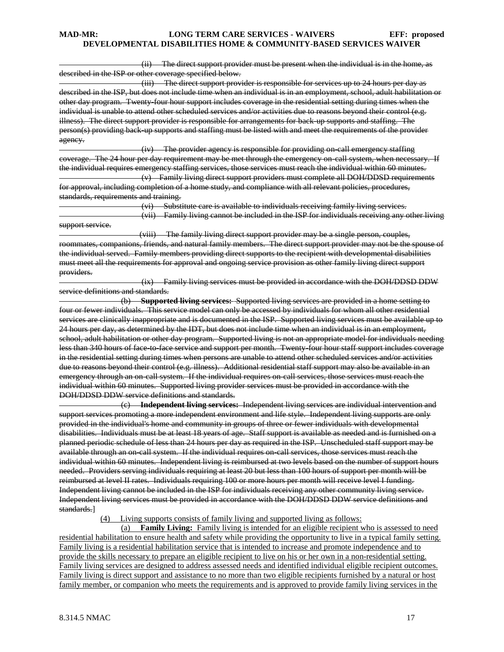(ii) The direct support provider must be present when the individual is in the home, as described in the ISP or other coverage specified below.

 (iii) The direct support provider is responsible for services up to 24 hours per day as described in the ISP, but does not include time when an individual is in an employment, school, adult habilitation or other day program. Twenty-four hour support includes coverage in the residential setting during times when the individual is unable to attend other scheduled services and/or activities due to reasons beyond their control (e.g. illness). The direct support provider is responsible for arrangements for back-up supports and staffing. The person(s) providing back-up supports and staffing must be listed with and meet the requirements of the provider agency.

 (iv) The provider agency is responsible for providing on-call emergency staffing coverage. The 24 hour per day requirement may be met through the emergency on-call system, when necessary. If the individual requires emergency staffing services, those services must reach the individual within 60 minutes. (v) Family living direct support providers must complete all DOH/DDSD requirements for approval, including completion of a home study, and compliance with all relevant policies, procedures,

standards, requirements and training.

 (vi) Substitute care is available to individuals receiving family living services. (vii) Family living cannot be included in the ISP for individuals receiving any other living support service.

 (viii) The family living direct support provider may be a single person, couples, roommates, companions, friends, and natural family members. The direct support provider may not be the spouse of the individual served. Family members providing direct supports to the recipient with developmental disabilities must meet all the requirements for approval and ongoing service provision as other family living direct support providers.

 (ix) Family living services must be provided in accordance with the DOH/DDSD DDW service definitions and standards.

 (b) **Supported living services:** Supported living services are provided in a home setting to four or fewer individuals. This service model can only be accessed by individuals for whom all other residential services are clinically inappropriate and is documented in the ISP. Supported living services must be available up to 24 hours per day, as determined by the IDT, but does not include time when an individual is in an employment, school, adult habilitation or other day program. Supported living is not an appropriate model for individuals needing less than 340 hours of face to face service and support per month. Twenty-four hour staff support includes coverage in the residential setting during times when persons are unable to attend other scheduled services and/or activities due to reasons beyond their control (e.g. illness). Additional residential staff support may also be available in an emergency through an on-call system. If the individual requires on-call services, those services must reach the individual within 60 minutes. Supported living provider services must be provided in accordance with the DOH/DDSD DDW service definitions and standards.

 (c) **Independent living services:** Independent living services are individual intervention and support services promoting a more independent environment and life style. Independent living supports are only provided in the individual's home and community in groups of three or fewer individuals with developmental disabilities. Individuals must be at least 18 years of age. Staff support is available as needed and is furnished on a planned periodic schedule of less than 24 hours per day as required in the ISP. Unscheduled staff support may be available through an on-call system. If the individual requires on-call services, those services must reach the individual within 60 minutes. Independent living is reimbursed at two levels based on the number of support hours needed. Providers serving individuals requiring at least 20 but less than 100 hours of support per month will be reimbursed at level II rates. Individuals requiring 100 or more hours per month will receive level I funding. Independent living cannot be included in the ISP for individuals receiving any other community living service. Independent living services must be provided in accordance with the DOH/DDSD DDW service definitions and standards.]

(4) Living supports consists of family living and supported living as follows:

 (a) **Family Living:** Family living is intended for an eligible recipient who is assessed to need residential habilitation to ensure health and safety while providing the opportunity to live in a typical family setting. Family living is a residential habilitation service that is intended to increase and promote independence and to provide the skills necessary to prepare an eligible recipient to live on his or her own in a non-residential setting. Family living services are designed to address assessed needs and identified individual eligible recipient outcomes. Family living is direct support and assistance to no more than two eligible recipients furnished by a natural or host family member, or companion who meets the requirements and is approved to provide family living services in the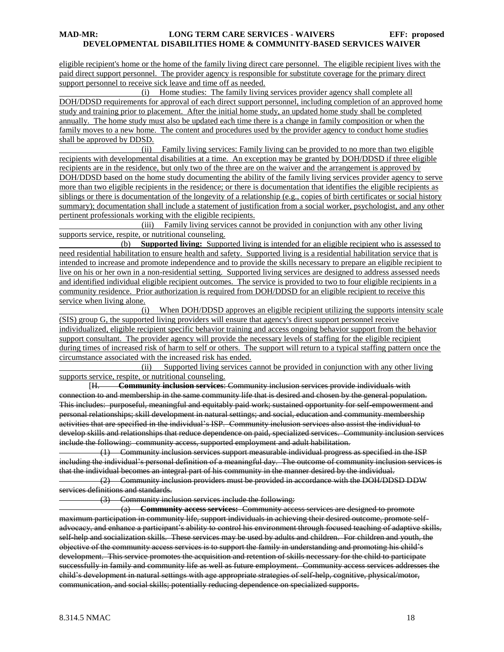eligible recipient's home or the home of the family living direct care personnel. The eligible recipient lives with the paid direct support personnel. The provider agency is responsible for substitute coverage for the primary direct support personnel to receive sick leave and time off as needed.

 (i) Home studies: The family living services provider agency shall complete all DOH/DDSD requirements for approval of each direct support personnel, including completion of an approved home study and training prior to placement. After the initial home study, an updated home study shall be completed annually. The home study must also be updated each time there is a change in family composition or when the family moves to a new home. The content and procedures used by the provider agency to conduct home studies shall be approved by DDSD.

 (ii) Family living services: Family living can be provided to no more than two eligible recipients with developmental disabilities at a time. An exception may be granted by DOH/DDSD if three eligible recipients are in the residence, but only two of the three are on the waiver and the arrangement is approved by DOH/DDSD based on the home study documenting the ability of the family living services provider agency to serve more than two eligible recipients in the residence; or there is documentation that identifies the eligible recipients as siblings or there is documentation of the longevity of a relationship (e.g., copies of birth certificates or social history summary); documentation shall include a statement of justification from a social worker, psychologist, and any other pertinent professionals working with the eligible recipients.

 (iii) Family living services cannot be provided in conjunction with any other living supports service, respite, or nutritional counseling.

 (b) **Supported living:** Supported living is intended for an eligible recipient who is assessed to need residential habilitation to ensure health and safety. Supported living is a residential habilitation service that is intended to increase and promote independence and to provide the skills necessary to prepare an eligible recipient to live on his or her own in a non-residential setting. Supported living services are designed to address assessed needs and identified individual eligible recipient outcomes. The service is provided to two to four eligible recipients in a community residence. Prior authorization is required from DOH/DDSD for an eligible recipient to receive this service when living alone.

 (i) When DOH/DDSD approves an eligible recipient utilizing the supports intensity scale (SIS) group G, the supported living providers will ensure that agency's direct support personnel receive individualized, eligible recipient specific behavior training and access ongoing behavior support from the behavior support consultant. The provider agency will provide the necessary levels of staffing for the eligible recipient during times of increased risk of harm to self or others. The support will return to a typical staffing pattern once the circumstance associated with the increased risk has ended.

 (ii) Supported living services cannot be provided in conjunction with any other living supports service, respite, or nutritional counseling.

[H. **Community inclusion services**: Community inclusion services provide individuals with connection to and membership in the same community life that is desired and chosen by the general population. This includes: purposeful, meaningful and equitably paid work; sustained opportunity for self-empowerment and personal relationships; skill development in natural settings; and social, education and community membership activities that are specified in the individual's ISP. Community inclusion services also assist the individual to develop skills and relationships that reduce dependence on paid, specialized services. Community inclusion services include the following: community access, supported employment and adult habilitation.

 (1) Community inclusion services support measurable individual progress as specified in the ISP including the individual's personal definition of a meaningful day. The outcome of community inclusion services is that the individual becomes an integral part of his community in the manner desired by the individual.

 (2) Community inclusion providers must be provided in accordance with the DOH/DDSD DDW services definitions and standards.

(3) Community inclusion services include the following:

 (a) **Community access services:** Community access services are designed to promote maximum participation in community life, support individuals in achieving their desired outcome, promote selfadvocacy, and enhance a participant's ability to control his environment through focused teaching of adaptive skills, self-help and socialization skills. These services may be used by adults and children. For children and youth, the objective of the community access services is to support the family in understanding and promoting his child's development. This service promotes the acquisition and retention of skills necessary for the child to participate successfully in family and community life as well as future employment. Community access services addresses the child's development in natural settings with age appropriate strategies of self-help, cognitive, physical/motor, communication, and social skills; potentially reducing dependence on specialized supports.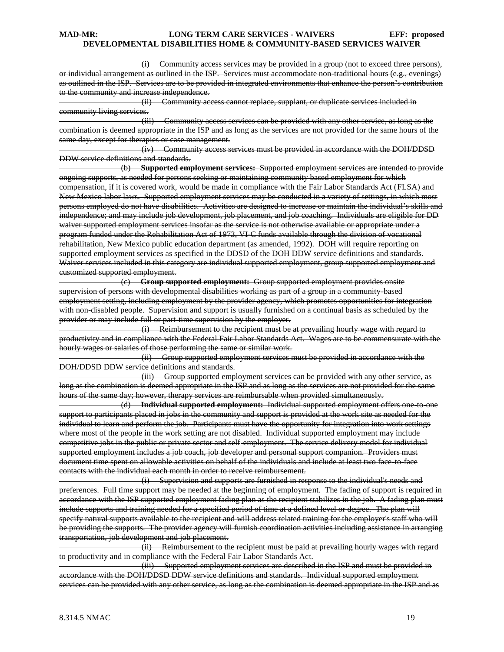(i) Community access services may be provided in a group (not to exceed three persons), or individual arrangement as outlined in the ISP. Services must accommodate non-traditional hours (e.g., evenings) as outlined in the ISP. Services are to be provided in integrated environments that enhance the person's contribution to the community and increase independence.

 (ii) Community access cannot replace, supplant, or duplicate services included in community living services.

 (iii) Community access services can be provided with any other service, as long as the combination is deemed appropriate in the ISP and as long as the services are not provided for the same hours of the same day, except for therapies or case management.

 (iv) Community access services must be provided in accordance with the DOH/DDSD DDW service definitions and standards.

 (b) **Supported employment services:** Supported employment services are intended to provide ongoing supports, as needed for persons seeking or maintaining community based employment for which compensation, if it is covered work, would be made in compliance with the Fair Labor Standards Act (FLSA) and New Mexico labor laws. Supported employment services may be conducted in a variety of settings, in which most persons employed do not have disabilities. Activities are designed to increase or maintain the individual's skills and independence; and may include job development, job placement, and job coaching. Individuals are eligible for DD waiver supported employment services insofar as the service is not otherwise available or appropriate under a program funded under the Rehabilitation Act of 1973, VI-C funds available through the division of vocational rehabilitation, New Mexico public education department (as amended, 1992). DOH will require reporting on supported employment services as specified in the DDSD of the DOH DDW service definitions and standards. Waiver services included in this category are individual supported employment, group supported employment and customized supported employment.

 (c) **Group supported employment:** Group supported employment provides onsite supervision of persons with developmental disabilities working as part of a group in a community-based employment setting, including employment by the provider agency, which promotes opportunities for integration with non-disabled people. Supervision and support is usually furnished on a continual basis as scheduled by the provider or may include full or part-time supervision by the employer.

 (i) Reimbursement to the recipient must be at prevailing hourly wage with regard to productivity and in compliance with the Federal Fair Labor Standards Act. Wages are to be commensurate with the hourly wages or salaries of those performing the same or similar work.

 (ii) Group supported employment services must be provided in accordance with the DOH/DDSD DDW service definitions and standards.

 (iii) Group supported employment services can be provided with any other service, as long as the combination is deemed appropriate in the ISP and as long as the services are not provided for the same hours of the same day; however, therapy services are reimbursable when provided simultaneously.

 (d) **Individual supported employment:** Individual supported employment offers one-to-one support to participants placed in jobs in the community and support is provided at the work site as needed for the individual to learn and perform the job. Participants must have the opportunity for integration into work settings where most of the people in the work setting are not disabled. Individual supported employment may include competitive jobs in the public or private sector and self-employment. The service delivery model for individual supported employment includes a job coach, job developer and personal support companion. Providers must document time spent on allowable activities on behalf of the individuals and include at least two face-to-face contacts with the individual each month in order to receive reimbursement.

 (i) Supervision and supports are furnished in response to the individual's needs and preferences. Full time support may be needed at the beginning of employment. The fading of support is required in accordance with the ISP supported employment fading plan as the recipient stabilizes in the job. A fading plan must include supports and training needed for a specified period of time at a defined level or degree. The plan will specify natural supports available to the recipient and will address related training for the employer's staff who will be providing the supports. The provider agency will furnish coordination activities including assistance in arranging transportation, job development and job placement.

 (ii) Reimbursement to the recipient must be paid at prevailing hourly wages with regard to productivity and in compliance with the Federal Fair Labor Standards Act.

 (iii) Supported employment services are described in the ISP and must be provided in accordance with the DOH/DDSD DDW service definitions and standards. Individual supported employment services can be provided with any other service, as long as the combination is deemed appropriate in the ISP and as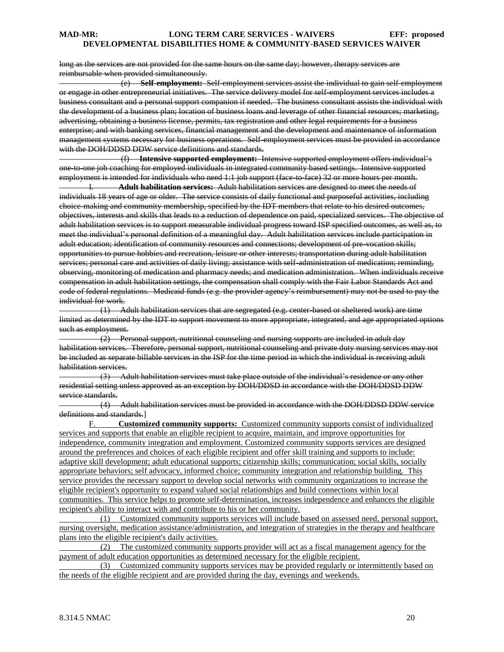long as the services are not provided for the same hours on the same day; however, therapy services are reimbursable when provided simultaneously.

 (e) **Self-employment:** Self-employment services assist the individual to gain self-employment or engage in other entrepreneurial initiatives. The service delivery model for self-employment services includes a business consultant and a personal support companion if needed. The business consultant assists the individual with the development of a business plan; location of business loans and leverage of other financial resources; marketing, advertising, obtaining a business license, permits, tax registration and other legal requirements for a business enterprise; and with banking services, financial management and the development and maintenance of information management systems necessary for business operations. Self-employment services must be provided in accordance with the DOH/DDSD DDW service definitions and standards.

 (f) **Intensive supported employment:** Intensive supported employment offers individual's one-to-one job coaching for employed individuals in integrated community based settings. Intensive supported employment is intended for individuals who need 1:1 job support (face to face) 32 or more hours per month.

I. **Adult habilitation services:** Adult habilitation services are designed to meet the needs of individuals 18 years of age or older. The service consists of daily functional and purposeful activities, including choice-making and community membership, specified by the IDT members that relate to his desired outcomes, objectives, interests and skills that leads to a reduction of dependence on paid, specialized services. The objective of adult habilitation services is to support measurable individual progress toward ISP specified outcomes, as well as, to meet the individual's personal definition of a meaningful day. Adult habilitation services include participation in adult education; identification of community resources and connections; development of pre-vocation skills; opportunities to pursue hobbies and recreation, leisure or other interests; transportation during adult habilitation services; personal care and activities of daily living; assistance with self-administration of medication; reminding, observing, monitoring of medication and pharmacy needs; and medication administration. When individuals receive compensation in adult habilitation settings, the compensation shall comply with the Fair Labor Standards Act and code of federal regulations. Medicaid funds (e.g. the provider agency's reimbursement) may not be used to pay the individual for work.

 (1) Adult habilitation services that are segregated (e.g. center-based or sheltered work) are time limited as determined by the IDT to support movement to more appropriate, integrated, and age appropriated options such as employment.

 $(2)$  Personal support, nutritional counseling and nursing supports are included in adult day habilitation services. Therefore, personal support, nutritional counseling and private duty nursing services may not be included as separate billable services in the ISP for the time period in which the individual is receiving adult habilitation services.

 (3) Adult habilitation services must take place outside of the individual's residence or any other residential setting unless approved as an exception by DOH/DDSD in accordance with the DOH/DDSD DDW service standards.

 (4) Adult habilitation services must be provided in accordance with the DOH/DDSD DDW service definitions and standards.]

F. **Customized community supports:** Customized community supports consist of individualized services and supports that enable an eligible recipient to acquire, maintain, and improve opportunities for independence, community integration and employment. Customized community supports services are designed around the preferences and choices of each eligible recipient and offer skill training and supports to include: adaptive skill development; adult educational supports; citizenship skills; communication; social skills, socially appropriate behaviors; self advocacy, informed choice; community integration and relationship building. This service provides the necessary support to develop social networks with community organizations to increase the eligible recipient's opportunity to expand valued social relationships and build connections within local communities. This service helps to promote self-determination, increases independence and enhances the eligible recipient's ability to interact with and contribute to his or her community.

 (1) Customized community supports services will include based on assessed need, personal support, nursing oversight, medication assistance/administration, and integration of strategies in the therapy and healthcare plans into the eligible recipient's daily activities.

 (2) The customized community supports provider will act as a fiscal management agency for the payment of adult education opportunities as determined necessary for the eligible recipient.<br>(3) Customized community supports services may be provided regularly or in

Customized community supports services may be provided regularly or intermittently based on the needs of the eligible recipient and are provided during the day, evenings and weekends.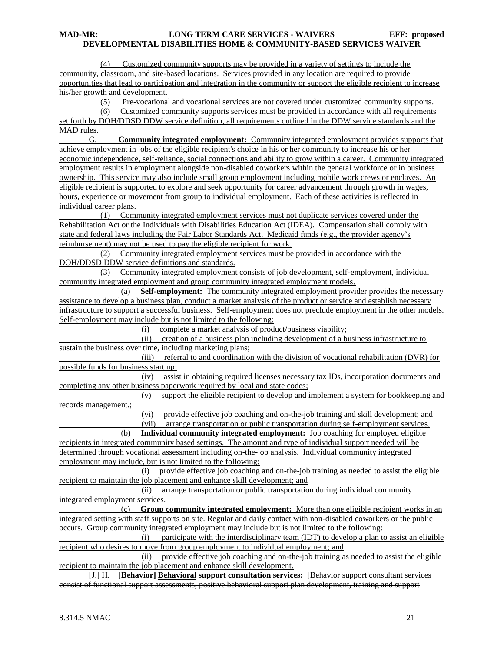(4) Customized community supports may be provided in a variety of settings to include the community, classroom, and site-based locations. Services provided in any location are required to provide opportunities that lead to participation and integration in the community or support the eligible recipient to increase his/her growth and development.

(5) Pre-vocational and vocational services are not covered under customized community supports.

 (6) Customized community supports services must be provided in accordance with all requirements set forth by DOH/DDSD DDW service definition, all requirements outlined in the DDW service standards and the MAD rules.

G. **Community integrated employment:** Community integrated employment provides supports that achieve employment in jobs of the eligible recipient's choice in his or her community to increase his or her economic independence, self-reliance, social connections and ability to grow within a career. Community integrated employment results in employment alongside non-disabled coworkers within the general workforce or in business ownership. This service may also include small group employment including mobile work crews or enclaves. An eligible recipient is supported to explore and seek opportunity for career advancement through growth in wages, hours, experience or movement from group to individual employment. Each of these activities is reflected in individual career plans.

 (1) Community integrated employment services must not duplicate services covered under the Rehabilitation Act or the Individuals with Disabilities Education Act (IDEA). Compensation shall comply with state and federal laws including the Fair Labor Standards Act. Medicaid funds (e.g., the provider agency's reimbursement) may not be used to pay the eligible recipient for work.

 (2) Community integrated employment services must be provided in accordance with the DOH/DDSD DDW service definitions and standards.

 (3) Community integrated employment consists of job development, self-employment, individual community integrated employment and group community integrated employment models.

 (a) **Self-employment:** The community integrated employment provider provides the necessary assistance to develop a business plan, conduct a market analysis of the product or service and establish necessary infrastructure to support a successful business. Self-employment does not preclude employment in the other models. Self-employment may include but is not limited to the following:

(i) complete a market analysis of product/business viability;

 (ii) creation of a business plan including development of a business infrastructure to sustain the business over time, including marketing plans;

 (iii) referral to and coordination with the division of vocational rehabilitation (DVR) for possible funds for business start up;

 (iv) assist in obtaining required licenses necessary tax IDs, incorporation documents and completing any other business paperwork required by local and state codes;

 (v) support the eligible recipient to develop and implement a system for bookkeeping and records management.;

(vi) provide effective job coaching and on-the-job training and skill development; and

 (vii) arrange transportation or public transportation during self-employment services. (b) **Individual community integrated employment:** Job coaching for employed eligible

recipients in integrated community based settings. The amount and type of individual support needed will be determined through vocational assessment including on-the-job analysis. Individual community integrated employment may include, but is not limited to the following:

 (i) provide effective job coaching and on-the-job training as needed to assist the eligible recipient to maintain the job placement and enhance skill development; and

 (ii) arrange transportation or public transportation during individual community integrated employment services.

 (c) **Group community integrated employment:** More than one eligible recipient works in an integrated setting with staff supports on site. Regular and daily contact with non-disabled coworkers or the public occurs. Group community integrated employment may include but is not limited to the following:

 (i) participate with the interdisciplinary team (IDT) to develop a plan to assist an eligible recipient who desires to move from group employment to individual employment; and

 (ii) provide effective job coaching and on-the-job training as needed to assist the eligible recipient to maintain the job placement and enhance skill development.

[J.] H. [**Behavior] Behavioral support consultation services:** [Behavior support consultant services consist of functional support assessments, positive behavioral support plan development, training and support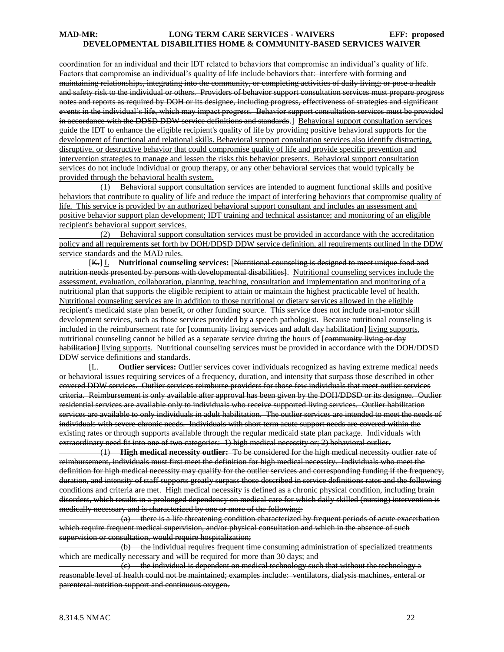coordination for an individual and their IDT related to behaviors that compromise an individual's quality of life. Factors that compromise an individual's quality of life include behaviors that: interfere with forming and maintaining relationships, integrating into the community, or completing activities of daily living; or pose a health and safety risk to the individual or others. Providers of behavior support consultation services must prepare progress notes and reports as required by DOH or its designee, including progress, effectiveness of strategies and significant events in the individual's life, which may impact progress. Behavior support consultation services must be provided in accordance with the DDSD DDW service definitions and standards.] Behavioral support consultation services guide the IDT to enhance the eligible recipient's quality of life by providing positive behavioral supports for the development of functional and relational skills. Behavioral support consultation services also identify distracting, disruptive, or destructive behavior that could compromise quality of life and provide specific prevention and intervention strategies to manage and lessen the risks this behavior presents. Behavioral support consultation services do not include individual or group therapy, or any other behavioral services that would typically be provided through the behavioral health system.

 (1) Behavioral support consultation services are intended to augment functional skills and positive behaviors that contribute to quality of life and reduce the impact of interfering behaviors that compromise quality of life. This service is provided by an authorized behavioral support consultant and includes an assessment and positive behavior support plan development; IDT training and technical assistance; and monitoring of an eligible recipient's behavioral support services.

 (2) Behavioral support consultation services must be provided in accordance with the accreditation policy and all requirements set forth by DOH/DDSD DDW service definition, all requirements outlined in the DDW service standards and the MAD rules.

[K.] I. **Nutritional counseling services:** [Nutritional counseling is designed to meet unique food and nutrition needs presented by persons with developmental disabilities. Nutritional counseling services include the assessment, evaluation, collaboration, planning, teaching, consultation and implementation and monitoring of a nutritional plan that supports the eligible recipient to attain or maintain the highest practicable level of health. Nutritional counseling services are in addition to those nutritional or dietary services allowed in the eligible recipient's medicaid state plan benefit, or other funding source. This service does not include oral-motor skill development services, such as those services provided by a speech pathologist. Because nutritional counseling is included in the reimbursement rate for [community living services and adult day habilitation] living supports, nutritional counseling cannot be billed as a separate service during the hours of [community living or day habilitation] living supports. Nutritional counseling services must be provided in accordance with the DOH/DDSD DDW service definitions and standards.

[L. **Outlier services:** Outlier services cover individuals recognized as having extreme medical needs or behavioral issues requiring services of a frequency, duration, and intensity that surpass those described in other covered DDW services. Outlier services reimburse providers for those few individuals that meet outlier services criteria. Reimbursement is only available after approval has been given by the DOH/DDSD or its designee. Outlier residential services are available only to individuals who receive supported living services. Outlier habilitation services are available to only individuals in adult habilitation. The outlier services are intended to meet the needs of individuals with severe chronic needs. Individuals with short term acute support needs are covered within the existing rates or through supports available through the regular medicaid state plan package. Individuals with extraordinary need fit into one of two categories: 1) high medical necessity or; 2) behavioral outlier.

 (1) **High medical necessity outlier:** To be considered for the high medical necessity outlier rate of reimbursement, individuals must first meet the definition for high medical necessity. Individuals who meet the definition for high medical necessity may qualify for the outlier services and corresponding funding if the frequency, duration, and intensity of staff supports greatly surpass those described in service definitions rates and the following conditions and criteria are met. High medical necessity is defined as a chronic physical condition, including brain disorders, which results in a prolonged dependency on medical care for which daily skilled (nursing) intervention is medically necessary and is characterized by one or more of the following:

 (a) there is a life threatening condition characterized by frequent periods of acute exacerbation which require frequent medical supervision, and/or physical consultation and which in the absence of such supervision or consultation, would require hospitalization;

 (b) the individual requires frequent time consuming administration of specialized treatments which are medically necessary and will be required for more than 30 days; and

 $\overline{c}$  the individual is dependent on medical technology such that without the technology a reasonable level of health could not be maintained; examples include: ventilators, dialysis machines, enteral or parenteral nutrition support and continuous oxygen.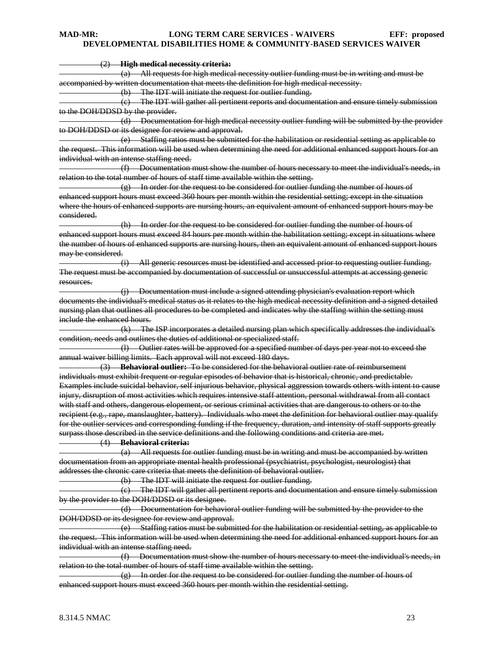(2) **High medical necessity criteria:**

 (a) All requests for high medical necessity outlier funding must be in writing and must be accompanied by written documentation that meets the definition for high medical necessity.

(b) The IDT will initiate the request for outlier funding.

 (c) The IDT will gather all pertinent reports and documentation and ensure timely submission to the DOH/DDSD by the provider.

 (d) Documentation for high medical necessity outlier funding will be submitted by the provider to DOH/DDSD or its designee for review and approval.

 (e) Staffing ratios must be submitted for the habilitation or residential setting as applicable to the request. This information will be used when determining the need for additional enhanced support hours for an individual with an intense staffing need.

 (f) Documentation must show the number of hours necessary to meet the individual's needs, in relation to the total number of hours of staff time available within the setting.

 $\left( \varrho \right)$  In order for the request to be considered for outlier funding the number of hours of enhanced support hours must exceed 360 hours per month within the residential setting; except in the situation where the hours of enhanced supports are nursing hours, an equivalent amount of enhanced support hours may be considered.

 (h) In order for the request to be considered for outlier funding the number of hours of enhanced support hours must exceed 84 hours per month within the habilitation setting; except in situations where the number of hours of enhanced supports are nursing hours, then an equivalent amount of enhanced support hours may be considered.

 (i) All generic resources must be identified and accessed prior to requesting outlier funding. The request must be accompanied by documentation of successful or unsuccessful attempts at accessing generic resources.

 (j) Documentation must include a signed attending physician's evaluation report which documents the individual's medical status as it relates to the high medical necessity definition and a signed detailed nursing plan that outlines all procedures to be completed and indicates why the staffing within the setting must include the enhanced hours.

 (k) The ISP incorporates a detailed nursing plan which specifically addresses the individual's condition, needs and outlines the duties of additional or specialized staff.

 (l) Outlier rates will be approved for a specified number of days per year not to exceed the annual waiver billing limits. Each approval will not exceed 180 days.

 (3) **Behavioral outlier:** To be considered for the behavioral outlier rate of reimbursement individuals must exhibit frequent or regular episodes of behavior that is historical, chronic, and predictable. Examples include suicidal behavior, self injurious behavior, physical aggression towards others with intent to cause injury, disruption of most activities which requires intensive staff attention, personal withdrawal from all contact with staff and others, dangerous elopement, or serious criminal activities that are dangerous to others or to the recipient (e.g., rape, manslaughter, battery). Individuals who meet the definition for behavioral outlier may qualify for the outlier services and corresponding funding if the frequency, duration, and intensity of staff supports greatly surpass those described in the service definitions and the following conditions and criteria are met.

#### (4) **Behavioral criteria:**

 (a) All requests for outlier funding must be in writing and must be accompanied by written documentation from an appropriate mental health professional (psychiatrist, psychologist, neurologist) that addresses the chronic care criteria that meets the definition of behavioral outlier.

(b) The IDT will initiate the request for outlier funding.

 (c) The IDT will gather all pertinent reports and documentation and ensure timely submission by the provider to the DOH/DDSD or its designee.

 (d) Documentation for behavioral outlier funding will be submitted by the provider to the DOH/DDSD or its designee for review and approval.

 (e) Staffing ratios must be submitted for the habilitation or residential setting, as applicable to the request. This information will be used when determining the need for additional enhanced support hours for an individual with an intense staffing need.

 (f) Documentation must show the number of hours necessary to meet the individual's needs, in relation to the total number of hours of staff time available within the setting.

 $(g)$  In order for the request to be considered for outlier funding the number of hours of enhanced support hours must exceed 360 hours per month within the residential setting.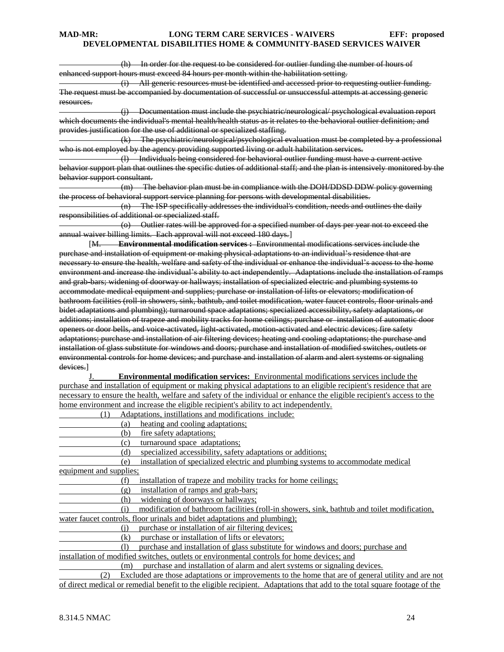(h) In order for the request to be considered for outlier funding the number of hours of enhanced support hours must exceed 84 hours per month within the habilitation setting.

 (i) All generic resources must be identified and accessed prior to requesting outlier funding. The request must be accompanied by documentation of successful or unsuccessful attempts at accessing generic resources.

 (j) Documentation must include the psychiatric/neurological/ psychological evaluation report which documents the individual's mental health/health status as it relates to the behavioral outlier definition; and provides justification for the use of additional or specialized staffing.

 (k) The psychiatric/neurological/psychological evaluation must be completed by a professional who is not employed by the agency providing supported living or adult habilitation services.

 (l) Individuals being considered for behavioral outlier funding must have a current active behavior support plan that outlines the specific duties of additional staff; and the plan is intensively monitored by the behavior support consultant.

 (m) The behavior plan must be in compliance with the DOH/DDSD DDW policy governing the process of behavioral support service planning for persons with developmental disabilities.

 (n) The ISP specifically addresses the individual's condition, needs and outlines the daily responsibilities of additional or specialized staff.

 (o) Outlier rates will be approved for a specified number of days per year not to exceed the annual waiver billing limits. Each approval will not exceed 180 days.]

[M. **Environmental modification services :** Environmental modifications services include the purchase and installation of equipment or making physical adaptations to an individual's residence that are necessary to ensure the health, welfare and safety of the individual or enhance the individual's access to the home environment and increase the individual's ability to act independently. Adaptations include the installation of ramps and grab-bars; widening of doorway or hallways; installation of specialized electric and plumbing systems to accommodate medical equipment and supplies; purchase or installation of lifts or elevators; modification of bathroom facilities (roll-in showers, sink, bathtub, and toilet modification, water faucet controls, floor urinals and bidet adaptations and plumbing); turnaround space adaptations; specialized accessibility, safety adaptations, or additions; installation of trapeze and mobility tracks for home ceilings; purchase or installation of automatic door openers or door bells, and voice-activated, light-activated, motion-activated and electric devices; fire safety adaptations; purchase and installation of air filtering devices; heating and cooling adaptations; the purchase and installation of glass substitute for windows and doors; purchase and installation of modified switches, outlets or environmental controls for home devices; and purchase and installation of alarm and alert systems or signaling devices.]

J. **Environmental modification services:** Environmental modifications services include the purchase and installation of equipment or making physical adaptations to an eligible recipient's residence that are necessary to ensure the health, welfare and safety of the individual or enhance the eligible recipient's access to the home environment and increase the eligible recipient's ability to act independently.

(1) Adaptations, instillations and modifications include:

- (a) heating and cooling adaptations;
- (b) fire safety adaptations;

(c) turnaround space adaptations;

(d) specialized accessibility, safety adaptations or additions;

(e) installation of specialized electric and plumbing systems to accommodate medical

equipment and supplies;

(f) installation of trapeze and mobility tracks for home ceilings;

(g) installation of ramps and grab-bars;

(h) widening of doorways or hallways;

 (i) modification of bathroom facilities (roll-in showers, sink, bathtub and toilet modification, water faucet controls, floor urinals and bidet adaptations and plumbing);

(j) purchase or installation of air filtering devices;

(k) purchase or installation of lifts or elevators;

 (l) purchase and installation of glass substitute for windows and doors; purchase and installation of modified switches, outlets or environmental controls for home devices; and

(m) purchase and installation of alarm and alert systems or signaling devices.

 (2) Excluded are those adaptations or improvements to the home that are of general utility and are not of direct medical or remedial benefit to the eligible recipient. Adaptations that add to the total square footage of the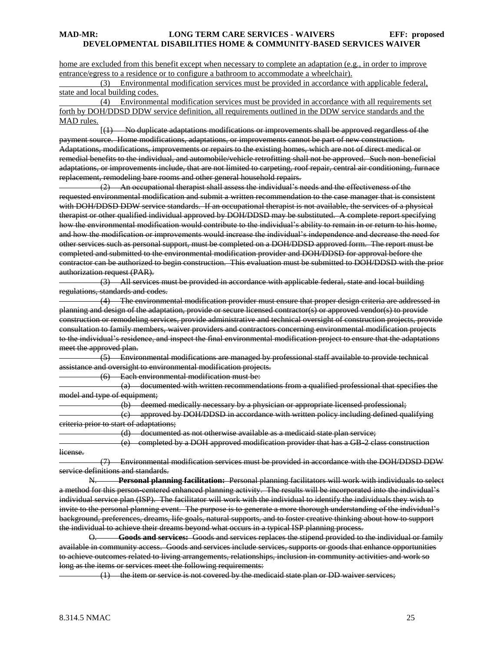home are excluded from this benefit except when necessary to complete an adaptation (e.g., in order to improve entrance/egress to a residence or to configure a bathroom to accommodate a wheelchair).

 (3) Environmental modification services must be provided in accordance with applicable federal, state and local building codes.

 (4) Environmental modification services must be provided in accordance with all requirements set forth by DOH/DDSD DDW service definition, all requirements outlined in the DDW service standards and the MAD rules.

 [(1) No duplicate adaptations modifications or improvements shall be approved regardless of the payment source. Home modifications, adaptations, or improvements cannot be part of new construction. Adaptations, modifications, improvements or repairs to the existing homes, which are not of direct medical or remedial benefits to the individual, and automobile/vehicle retrofitting shall not be approved. Such non-beneficial adaptations, or improvements include, that are not limited to carpeting, roof repair, central air conditioning, furnace replacement, remodeling bare rooms and other general household repairs.

 (2) An occupational therapist shall assess the individual's needs and the effectiveness of the requested environmental modification and submit a written recommendation to the case manager that is consistent with DOH/DDSD DDW service standards. If an occupational therapist is not available, the services of a physical therapist or other qualified individual approved by DOH/DDSD may be substituted. A complete report specifying how the environmental modification would contribute to the individual's ability to remain in or return to his home, and how the modification or improvements would increase the individual's independence and decrease the need for other services such as personal support, must be completed on a DOH/DDSD approved form. The report must be completed and submitted to the environmental modification provider and DOH/DDSD for approval before the contractor can be authorized to begin construction. This evaluation must be submitted to DOH/DDSD with the prior authorization request (PAR).

 (3) All services must be provided in accordance with applicable federal, state and local building regulations, standards and codes.

 (4) The environmental modification provider must ensure that proper design criteria are addressed in planning and design of the adaptation, provide or secure licensed contractor(s) or approved vendor(s) to provide construction or remodeling services, provide administrative and technical oversight of construction projects, provide consultation to family members, waiver providers and contractors concerning environmental modification projects to the individual's residence, and inspect the final environmental modification project to ensure that the adaptations meet the approved plan.

 (5) Environmental modifications are managed by professional staff available to provide technical assistance and oversight to environmental modification projects.

(6) Each environmental modification must be:

 (a) documented with written recommendations from a qualified professional that specifies the model and type of equipment;

(b) deemed medically necessary by a physician or appropriate licensed professional;

 (c) approved by DOH/DDSD in accordance with written policy including defined qualifying criteria prior to start of adaptations;

(d) documented as not otherwise available as a medicaid state plan service;

 (e) completed by a DOH approved modification provider that has a GB-2 class construction license.

 (7) Environmental modification services must be provided in accordance with the DOH/DDSD DDW service definitions and standards.

N. **Personal planning facilitation:** Personal planning facilitators will work with individuals to select a method for this person-centered enhanced planning activity. The results will be incorporated into the individual's individual service plan (ISP). The facilitator will work with the individual to identify the individuals they wish to invite to the personal planning event. The purpose is to generate a more thorough understanding of the individual's background, preferences, dreams, life goals, natural supports, and to foster creative thinking about how to support the individual to achieve their dreams beyond what occurs in a typical ISP planning process.

O. **Goods and services:** Goods and services replaces the stipend provided to the individual or family available in community access. Goods and services include services, supports or goods that enhance opportunities to achieve outcomes related to living arrangements, relationships, inclusion in community activities and work so long as the items or services meet the following requirements:

(1) the item or service is not covered by the medicaid state plan or DD waiver services;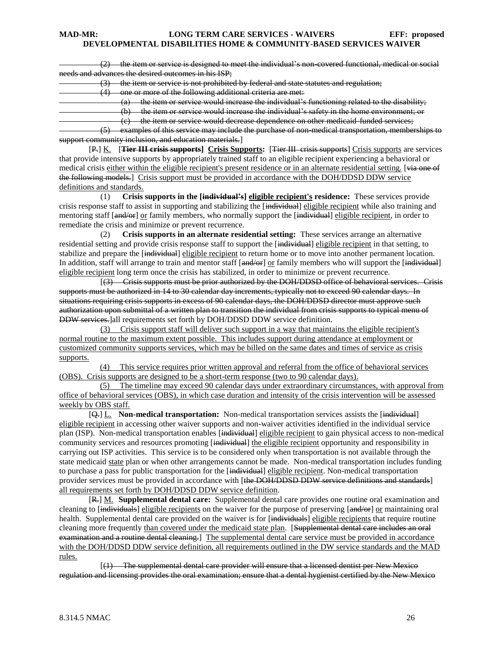(2) the item or service is designed to meet the individual's non-covered functional, medical or social needs and advances the desired outcomes in his ISP;

(3) the item or service is not prohibited by federal and state statutes and regulation;

one or more of the following additional criteria are met:

 $(a)$  the item or service would increase the individual's functioning related to the disability;

(b) the item or service would increase the individual's safety in the home environment; or

(c) the item or service would decrease dependence on other medicaid-funded services;

 (5) examples of this service may include the purchase of non-medical transportation, memberships to support community inclusion, and education materials.]

[P.] K. [**Tier III crisis supports] Crisis Supports:** [Tier III crisis supports] Crisis supports are services that provide intensive supports by appropriately trained staff to an eligible recipient experiencing a behavioral or medical crisis either within the eligible recipient's present residence or in an alternate residential setting. [via one of the following models.] Crisis support must be provided in accordance with the DOH/DDSD DDW service definitions and standards.

 (1) **Crisis supports in the [individual's] eligible recipient's residence:** These services provide crisis response staff to assist in supporting and stabilizing the [individual] eligible recipient while also training and mentoring staff [and/or] or family members, who normally support the [individual] eligible recipient, in order to remediate the crisis and minimize or prevent recurrence.

 (2) **Crisis supports in an alternate residential setting:** These services arrange an alternative residential setting and provide crisis response staff to support the [individual] eligible recipient in that setting, to stabilize and prepare the [individual] eligible recipient to return home or to move into another permanent location. In addition, staff will arrange to train and mentor staff [and/or] or family members who will support the [individual] eligible recipient long term once the crisis has stabilized, in order to minimize or prevent recurrence.

 [(3) Crisis supports must be prior authorized by the DOH/DDSD office of behavioral services. Crisis supports must be authorized in 14 to 30 calendar day increments, typically not to exceed 90 calendar days. In situations requiring crisis supports in excess of 90 calendar days, the DOH/DDSD director must approve such authorization upon submittal of a written plan to transition the individual from crisis supports to typical menu of DDW services.]all requirements set forth by DOH/DDSD DDW service definition.

 (3) Crisis support staff will deliver such support in a way that maintains the eligible recipient's normal routine to the maximum extent possible. This includes support during attendance at employment or customized community supports services, which may be billed on the same dates and times of service as crisis supports.

(4) This service requires prior written approval and referral from the office of behavioral services (OBS). Crisis supports are designed to be a short-term response (two to 90 calendar days).

(5) The timeline may exceed 90 calendar days under extraordinary circumstances, with approval from office of behavioral services (OBS), in which case duration and intensity of the crisis intervention will be assessed weekly by OBS staff.

[Q.] L. **Non-medical transportation:** Non-medical transportation services assists the [individual] eligible recipient in accessing other waiver supports and non-waiver activities identified in the individual service plan (ISP). Non-medical transportation enables [individual] eligible recipient to gain physical access to non-medical community services and resources promoting [individual] the eligible recipient opportunity and responsibility in carrying out ISP activities. This service is to be considered only when transportation is not available through the state medicaid state plan or when other arrangements cannot be made. Non-medical transportation includes funding to purchase a pass for public transportation for the [individual] eligible recipient. Non-medical transportation provider services must be provided in accordance with [the DOH/DDSD DDW service definitions and standards] all requirements set forth by DOH/DDSD DDW service definition.

[R.] M. **Supplemental dental care:** Supplemental dental care provides one routine oral examination and cleaning to [individuals] eligible recipients on the waiver for the purpose of preserving [and/or] or maintaining oral health. Supplemental dental care provided on the waiver is for [individuals] eligible recipients that require routine cleaning more frequently than covered under the medicaid state plan. [Supplemental dental care includes an oral examination and a routine dental cleaning.] The supplemental dental care service must be provided in accordance with the DOH/DDSD DDW service definition, all requirements outlined in the DW service standards and the MAD rules.

 [(1) The supplemental dental care provider will ensure that a licensed dentist per New Mexico regulation and licensing provides the oral examination; ensure that a dental hygienist certified by the New Mexico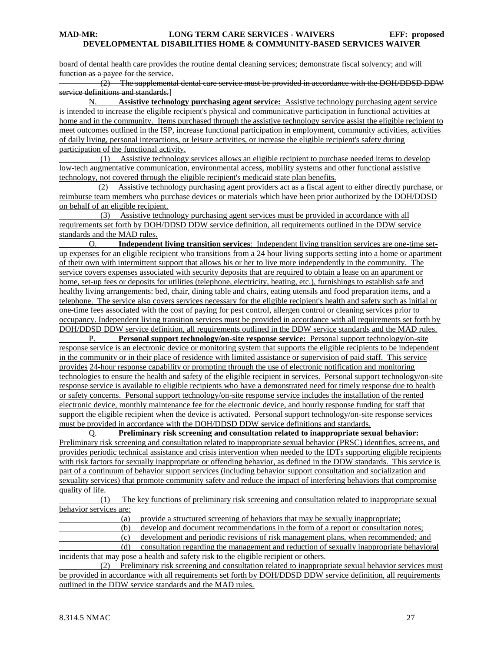board of dental health care provides the routine dental cleaning services; demonstrate fiscal solvency; and will function as a payee for the service.

 $(2)$  The supplemental dental care service must be provided in accordance with the DOH/DDSD DDW service definitions and standards.]

N. **Assistive technology purchasing agent service:** Assistive technology purchasing agent service is intended to increase the eligible recipient's physical and communicative participation in functional activities at home and in the community. Items purchased through the assistive technology service assist the eligible recipient to meet outcomes outlined in the ISP, increase functional participation in employment, community activities, activities of daily living, personal interactions, or leisure activities, or increase the eligible recipient's safety during participation of the functional activity.

 (1) Assistive technology services allows an eligible recipient to purchase needed items to develop low-tech augmentative communication, environmental access, mobility systems and other functional assistive technology, not covered through the eligible recipient's medicaid state plan benefits.

 (2) Assistive technology purchasing agent providers act as a fiscal agent to either directly purchase, or reimburse team members who purchase devices or materials which have been prior authorized by the DOH/DDSD on behalf of an eligible recipient.

 (3) Assistive technology purchasing agent services must be provided in accordance with all requirements set forth by DOH/DDSD DDW service definition, all requirements outlined in the DDW service standards and the MAD rules.

O. **Independent living transition services**: Independent living transition services are one-time setup expenses for an eligible recipient who transitions from a 24 hour living supports setting into a home or apartment of their own with intermittent support that allows his or her to live more independently in the community. The service covers expenses associated with security deposits that are required to obtain a lease on an apartment or home, set-up fees or deposits for utilities (telephone, electricity, heating, etc.), furnishings to establish safe and healthy living arrangements: bed, chair, dining table and chairs, eating utensils and food preparation items, and a telephone. The service also covers services necessary for the eligible recipient's health and safety such as initial or one-time fees associated with the cost of paying for pest control, allergen control or cleaning services prior to occupancy. Independent living transition services must be provided in accordance with all requirements set forth by

DOH/DDSD DDW service definition, all requirements outlined in the DDW service standards and the MAD rules.<br>P. Personal support technology/on-site response service: Personal support technology/on-site Personal support technology/on-site response service: Personal support technology/on-site response service is an electronic device or monitoring system that supports the eligible recipients to be independent in the community or in their place of residence with limited assistance or supervision of paid staff. This service provides 24-hour response capability or prompting through the use of electronic notification and monitoring technologies to ensure the health and safety of the eligible recipient in services. Personal support technology/on-site response service is available to eligible recipients who have a demonstrated need for timely response due to health or safety concerns. Personal support technology/on-site response service includes the installation of the rented electronic device, monthly maintenance fee for the electronic device, and hourly response funding for staff that support the eligible recipient when the device is activated. Personal support technology/on-site response services must be provided in accordance with the DOH/DDSD DDW service definitions and standards.

Q. **Preliminary risk screening and consultation related to inappropriate sexual behavior:**  Preliminary risk screening and consultation related to inappropriate sexual behavior (PRSC) identifies, screens, and provides periodic technical assistance and crisis intervention when needed to the IDTs supporting eligible recipients with risk factors for sexually inappropriate or offending behavior, as defined in the DDW standards. This service is part of a continuum of behavior support services (including behavior support consultation and socialization and sexuality services) that promote community safety and reduce the impact of interfering behaviors that compromise quality of life.

 (1) The key functions of preliminary risk screening and consultation related to inappropriate sexual behavior services are:

(a) provide a structured screening of behaviors that may be sexually inappropriate;

(b) develop and document recommendations in the form of a report or consultation notes;

(c) development and periodic revisions of risk management plans, when recommended; and

 (d) consultation regarding the management and reduction of sexually inappropriate behavioral incidents that may pose a health and safety risk to the eligible recipient or others.

 (2) Preliminary risk screening and consultation related to inappropriate sexual behavior services must be provided in accordance with all requirements set forth by DOH/DDSD DDW service definition, all requirements outlined in the DDW service standards and the MAD rules.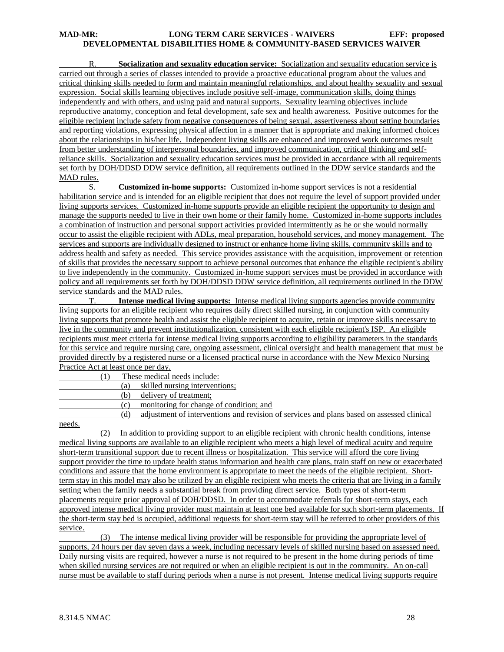R. **Socialization and sexuality education service:** Socialization and sexuality education service is carried out through a series of classes intended to provide a proactive educational program about the values and critical thinking skills needed to form and maintain meaningful relationships, and about healthy sexuality and sexual expression. Social skills learning objectives include positive self-image, communication skills, doing things independently and with others, and using paid and natural supports. Sexuality learning objectives include reproductive anatomy, conception and fetal development, safe sex and health awareness. Positive outcomes for the eligible recipient include safety from negative consequences of being sexual, assertiveness about setting boundaries and reporting violations, expressing physical affection in a manner that is appropriate and making informed choices about the relationships in his/her life. Independent living skills are enhanced and improved work outcomes result from better understanding of interpersonal boundaries, and improved communication, critical thinking and selfreliance skills. Socialization and sexuality education services must be provided in accordance with all requirements set forth by DOH/DDSD DDW service definition, all requirements outlined in the DDW service standards and the MAD rules.

S. **Customized in-home supports:** Customized in-home support services is not a residential habilitation service and is intended for an eligible recipient that does not require the level of support provided under living supports services. Customized in-home supports provide an eligible recipient the opportunity to design and manage the supports needed to live in their own home or their family home. Customized in-home supports includes a combination of instruction and personal support activities provided intermittently as he or she would normally occur to assist the eligible recipient with ADLs, meal preparation, household services, and money management. The services and supports are individually designed to instruct or enhance home living skills, community skills and to address health and safety as needed. This service provides assistance with the acquisition, improvement or retention of skills that provides the necessary support to achieve personal outcomes that enhance the eligible recipient's ability to live independently in the community. Customized in-home support services must be provided in accordance with policy and all requirements set forth by DOH/DDSD DDW service definition, all requirements outlined in the DDW service standards and the MAD rules.

T. **Intense medical living supports:** Intense medical living supports agencies provide community living supports for an eligible recipient who requires daily direct skilled nursing, in conjunction with community living supports that promote health and assist the eligible recipient to acquire, retain or improve skills necessary to live in the community and prevent institutionalization, consistent with each eligible recipient's ISP. An eligible recipients must meet criteria for intense medical living supports according to eligibility parameters in the standards for this service and require nursing care, ongoing assessment, clinical oversight and health management that must be provided directly by a registered nurse or a licensed practical nurse in accordance with the New Mexico Nursing Practice Act at least once per day.

(1) These medical needs include:

| skilled nursing interventions:            |
|-------------------------------------------|
| $\sim$ $\sim$ $\sim$ $\sim$ $\sim$ $\sim$ |

(b) delivery of treatment;

- (c) monitoring for change of condition; and
- (d) adjustment of interventions and revision of services and plans based on assessed clinical needs.

 (2) In addition to providing support to an eligible recipient with chronic health conditions, intense medical living supports are available to an eligible recipient who meets a high level of medical acuity and require short-term transitional support due to recent illness or hospitalization. This service will afford the core living support provider the time to update health status information and health care plans, train staff on new or exacerbated conditions and assure that the home environment is appropriate to meet the needs of the eligible recipient. Shortterm stay in this model may also be utilized by an eligible recipient who meets the criteria that are living in a family setting when the family needs a substantial break from providing direct service. Both types of short-term placements require prior approval of DOH/DDSD. In order to accommodate referrals for short-term stays, each approved intense medical living provider must maintain at least one bed available for such short-term placements. If the short-term stay bed is occupied, additional requests for short-term stay will be referred to other providers of this service.

 (3) The intense medical living provider will be responsible for providing the appropriate level of supports, 24 hours per day seven days a week, including necessary levels of skilled nursing based on assessed need. Daily nursing visits are required, however a nurse is not required to be present in the home during periods of time when skilled nursing services are not required or when an eligible recipient is out in the community. An on-call nurse must be available to staff during periods when a nurse is not present. Intense medical living supports require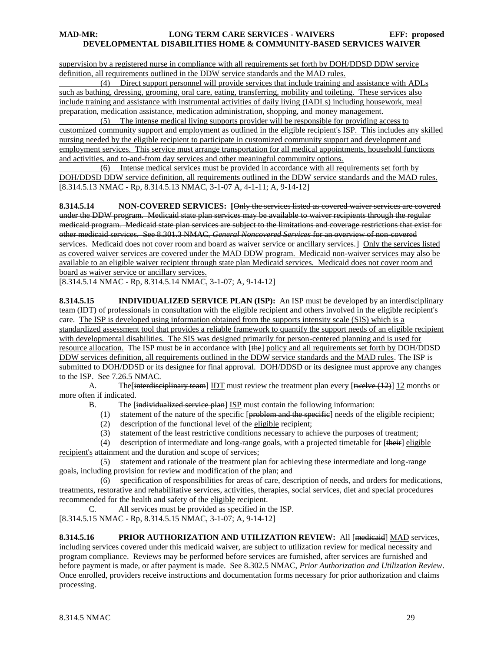supervision by a registered nurse in compliance with all requirements set forth by DOH/DDSD DDW service definition, all requirements outlined in the DDW service standards and the MAD rules.

 (4) Direct support personnel will provide services that include training and assistance with ADLs such as bathing, dressing, grooming, oral care, eating, transferring, mobility and toileting. These services also include training and assistance with instrumental activities of daily living (IADLs) including housework, meal preparation, medication assistance, medication administration, shopping, and money management.

 (5) The intense medical living supports provider will be responsible for providing access to customized community support and employment as outlined in the eligible recipient's ISP. This includes any skilled nursing needed by the eligible recipient to participate in customized community support and development and employment services. This service must arrange transportation for all medical appointments, household functions and activities, and to-and-from day services and other meaningful community options.

 (6) Intense medical services must be provided in accordance with all requirements set forth by DOH/DDSD DDW service definition, all requirements outlined in the DDW service standards and the MAD rules. [8.314.5.13 NMAC - Rp, 8.314.5.13 NMAC, 3-1-07 A, 4-1-11; A, 9-14-12]

**8.314.5.14 NON-COVERED SERVICES: [**Only the services listed as covered waiver services are covered under the DDW program. Medicaid state plan services may be available to waiver recipients through the regular medicaid program. Medicaid state plan services are subject to the limitations and coverage restrictions that exist for other medicaid services. See 8.301.3 NMAC, *General Noncovered Services* for an overview of non-covered services. Medicaid does not cover room and board as waiver service or ancillary services. Only the services listed as covered waiver services are covered under the MAD DDW program. Medicaid non-waiver services may also be available to an eligible waiver recipient through state plan Medicaid services. Medicaid does not cover room and board as waiver service or ancillary services.

[8.314.5.14 NMAC - Rp, 8.314.5.14 NMAC, 3-1-07; A, 9-14-12]

**8.314.5.15 INDIVIDUALIZED SERVICE PLAN (ISP):** An ISP must be developed by an interdisciplinary team (IDT) of professionals in consultation with the eligible recipient and others involved in the eligible recipient's care. The ISP is developed using information obtained from the supports intensity scale (SIS) which is a standardized assessment tool that provides a reliable framework to quantify the support needs of an eligible recipient with developmental disabilities. The SIS was designed primarily for person-centered planning and is used for resource allocation. The ISP must be in accordance with [the] policy and all requirements set forth by DOH/DDSD DDW services definition, all requirements outlined in the DDW service standards and the MAD rules. The ISP is submitted to DOH/DDSD or its designee for final approval. DOH/DDSD or its designee must approve any changes to the ISP. See 7.26.5 NMAC.

A. The interdisciplinary team IDT must review the treatment plan every [twelve (12)] 12 months or more often if indicated.

B. The [individualized service plan] ISP must contain the following information:

- $(1)$  statement of the nature of the specific [problem and the specific] needs of the eligible recipient;
- (2) description of the functional level of the eligible recipient;
- (3) statement of the least restrictive conditions necessary to achieve the purposes of treatment;

(4) description of intermediate and long-range goals, with a projected timetable for  $[t\rightarrow +t\rightarrow +\infty]$ recipient's attainment and the duration and scope of services;

 (5) statement and rationale of the treatment plan for achieving these intermediate and long-range goals, including provision for review and modification of the plan; and

 (6) specification of responsibilities for areas of care, description of needs, and orders for medications, treatments, restorative and rehabilitative services, activities, therapies, social services, diet and special procedures recommended for the health and safety of the eligible recipient.

C. All services must be provided as specified in the ISP. [8.314.5.15 NMAC - Rp, 8.314.5.15 NMAC, 3-1-07; A, 9-14-12]

**8.314.5.16 PRIOR AUTHORIZATION AND UTILIZATION REVIEW:** All [medicaid] MAD services, including services covered under this medicaid waiver, are subject to utilization review for medical necessity and program compliance. Reviews may be performed before services are furnished, after services are furnished and before payment is made, or after payment is made. See 8.302.5 NMAC, *Prior Authorization and Utilization Review*. Once enrolled, providers receive instructions and documentation forms necessary for prior authorization and claims processing.